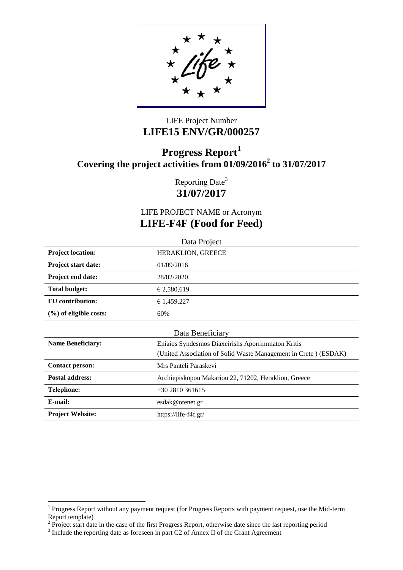## LIFE Project Number **LIFE15 ENV/GR/000257**

# **Progress Report<sup>1</sup> Covering the project activities from 01/09/2016<sup>2</sup> to 31/07/2017**

Reporting Date<sup>3</sup> **31/07/2017**

LIFE PROJECT NAME or Acronym **LIFE-F4F (Food for Feed)**

|                                      | Data Project                                                    |  |
|--------------------------------------|-----------------------------------------------------------------|--|
| <b>Project location:</b>             | HERAKLION, GREECE                                               |  |
| <b>Project start date:</b>           | 01/09/2016                                                      |  |
| <b>Project end date:</b>             | 28/02/2020                                                      |  |
| <b>Total budget:</b>                 | € 2,580,619                                                     |  |
| EU contribution:                     | € 1,459,227                                                     |  |
| $(\%)$ of eligible costs:<br>60%     |                                                                 |  |
|                                      | Data Beneficiary                                                |  |
| <b>Name Beneficiary:</b>             | Eniaios Syndesmos Diaxeirishs Aporrimmaton Kritis               |  |
|                                      | (United Association of Solid Waste Management in Crete) (ESDAK) |  |
| <b>Contact person:</b>               | Mrs Panteli Paraskevi                                           |  |
| <b>Postal address:</b>               | Archiepiskopou Makariou 22, 71202, Heraklion, Greece            |  |
| <b>Telephone:</b><br>$+302810361615$ |                                                                 |  |
| E-mail:                              | esdak@otenet.gr                                                 |  |
| <b>Project Website:</b>              | https://life-f4f.gr/                                            |  |

 $\overline{a}$ 

 $1$  Progress Report without any payment request (for Progress Reports with payment request, use the Mid-term Report template)<br>
<sup>2</sup> Project start date in the case of the first Progress Report, otherwise date since the last reporting period<br>
<sup>3</sup> Include the reporting date as foreseen in part C2 of Annex II of the Grant Agreement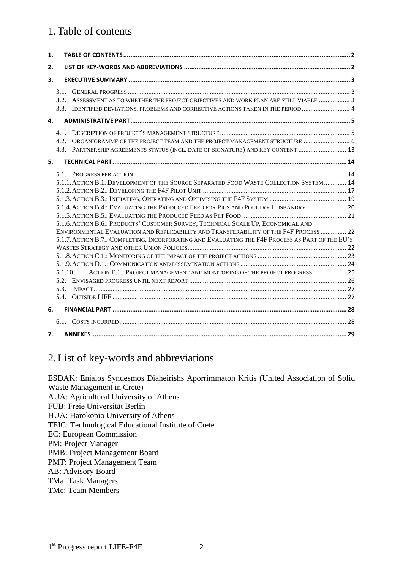## <span id="page-1-0"></span>1.Table of contents

| 1. |         |                                                                                                                                                                                                                                                                                                                                                                                                                                                                                                                                               |  |
|----|---------|-----------------------------------------------------------------------------------------------------------------------------------------------------------------------------------------------------------------------------------------------------------------------------------------------------------------------------------------------------------------------------------------------------------------------------------------------------------------------------------------------------------------------------------------------|--|
| 2. |         |                                                                                                                                                                                                                                                                                                                                                                                                                                                                                                                                               |  |
| 3. |         |                                                                                                                                                                                                                                                                                                                                                                                                                                                                                                                                               |  |
|    | 3.1.    | 3.2. ASSESSMENT AS TO WHETHER THE PROJECT OBJECTIVES AND WORK PLAN ARE STILL VIABLE  3<br>3.3. IDENTIFIED DEVIATIONS, PROBLEMS AND CORRECTIVE ACTIONS TAKEN IN THE PERIOD  4                                                                                                                                                                                                                                                                                                                                                                  |  |
| 4. |         |                                                                                                                                                                                                                                                                                                                                                                                                                                                                                                                                               |  |
|    |         | 4.2. ORGANIGRAMME OF THE PROJECT TEAM AND THE PROJECT MANAGEMENT STRUCTURE  6<br>4.3. PARTNERSHIP AGREEMENTS STATUS (INCL. DATE OF SIGNATURE) AND KEY CONTENT  13                                                                                                                                                                                                                                                                                                                                                                             |  |
| 5. |         |                                                                                                                                                                                                                                                                                                                                                                                                                                                                                                                                               |  |
|    | 5.1.10. | 5.1.1. ACTION B.1. DEVELOPMENT OF THE SOURCE SEPARATED FOOD WASTE COLLECTION SYSTEM  14<br>5.1.4. ACTION B.4.: EVALUATING THE PRODUCED FEED FOR PIGS AND POULTRY HUSBANDRY  20<br>5.1.6. ACTION B.6.: PRODUCTS' CUSTOMER SURVEY, TECHNICAL SCALE UP, ECONOMICAL AND<br>ENVIRONMENTAL EVALUATION AND REPLICABILITY AND TRANSFERABILITY OF THE F4F PROCESS  22<br>5.1.7. ACTION B.7.: COMPLETING, INCORPORATING AND EVALUATING THE F4F PROCESS AS PART OF THE EU'S<br>ACTION E.1.: PROJECT MANAGEMENT AND MONITORING OF THE PROJECT PROGRESS 25 |  |
| 6. |         |                                                                                                                                                                                                                                                                                                                                                                                                                                                                                                                                               |  |
|    |         |                                                                                                                                                                                                                                                                                                                                                                                                                                                                                                                                               |  |
| 7. |         |                                                                                                                                                                                                                                                                                                                                                                                                                                                                                                                                               |  |

## <span id="page-1-1"></span>2.List of key-words and abbreviations

ESDAK: Eniaios Syndesmos Diaheirishs Aporrimmaton Kritis (United Association of Solid Waste Management in Crete) AUA: Agricultural University of Athens FUB: Freie Universität Berlin HUA: Harokopio University of Athens TEIC: Technological Educational Institute of Crete EC: European Commission PM: Project Manager PMB: Project Management Board PMT: Project Management Team AB: Advisory Board TMa: Task Managers TMe: Team Members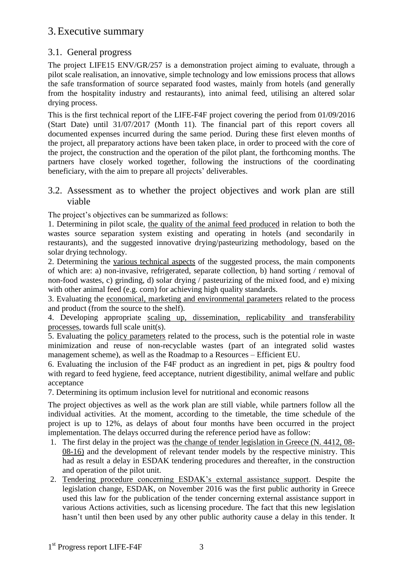## <span id="page-2-0"></span>3.Executive summary

## <span id="page-2-1"></span>3.1. General progress

The project LIFE15 ENV/GR/257 is a demonstration project aiming to evaluate, through a pilot scale realisation, an innovative, simple technology and low emissions process that allows the safe transformation of source separated food wastes, mainly from hotels (and generally from the hospitality industry and restaurants), into animal feed, utilising an altered solar drying process.

This is the first technical report of the LIFE-F4F project covering the period from 01/09/2016 (Start Date) until 31/07/2017 (Month 11). The financial part of this report covers all documented expenses incurred during the same period. During these first eleven months of the project, all preparatory actions have been taken place, in order to proceed with the core of the project, the construction and the operation of the pilot plant, the forthcoming months. The partners have closely worked together, following the instructions of the coordinating beneficiary, with the aim to prepare all projects' deliverables.

### <span id="page-2-2"></span>3.2. Assessment as to whether the project objectives and work plan are still viable

The project's objectives can be summarized as follows:

1. Determining in pilot scale, the quality of the animal feed produced in relation to both the wastes source separation system existing and operating in hotels (and secondarily in restaurants), and the suggested innovative drying/pasteurizing methodology, based on the solar drying technology.

2. Determining the various technical aspects of the suggested process, the main components of which are: a) non-invasive, refrigerated, separate collection, b) hand sorting / removal of non-food wastes, c) grinding, d) solar drying / pasteurizing of the mixed food, and e) mixing with other animal feed (e.g. corn) for achieving high quality standards.

3. Evaluating the economical, marketing and environmental parameters related to the process and product (from the source to the shelf).

4. Developing appropriate scaling up, dissemination, replicability and transferability processes, towards full scale unit(s).

5. Evaluating the policy parameters related to the process, such is the potential role in waste minimization and reuse of non-recyclable wastes (part of an integrated solid wastes management scheme), as well as the Roadmap to a Resources – Efficient EU.

6. Evaluating the inclusion of the F4F product as an ingredient in pet, pigs & poultry food with regard to feed hygiene, feed acceptance, nutrient digestibility, animal welfare and public acceptance

7. Determining its optimum inclusion level for nutritional and economic reasons

The project objectives as well as the work plan are still viable, while partners follow all the individual activities. At the moment, according to the timetable, the time schedule of the project is up to 12%, as delays of about four months have been occurred in the project implementation. The delays occurred during the reference period have as follow:

- 1. The first delay in the project was the change of tender legislation in Greece (N. 4412, 08- 08-16) and the development of relevant tender models by the respective ministry. This had as result a delay in ESDAK tendering procedures and thereafter, in the construction and operation of the pilot unit.
- 2. Tendering procedure concerning ESDAK's external assistance support. Despite the legislation change, ESDAK, on November 2016 was the first public authority in Greece used this law for the publication of the tender concerning external assistance support in various Actions activities, such as licensing procedure. The fact that this new legislation hasn't until then been used by any other public authority cause a delay in this tender. It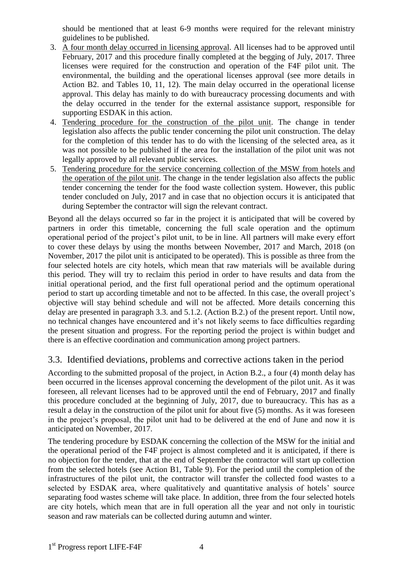should be mentioned that at least 6-9 months were required for the relevant ministry guidelines to be published.

- 3. A four month delay occurred in licensing approval. All licenses had to be approved until February, 2017 and this procedure finally completed at the begging of July, 2017. Three licenses were required for the construction and operation of the F4F pilot unit. The environmental, the building and the operational licenses approval (see more details in Action B2. and Tables 10, 11, 12). The main delay occurred in the operational license approval. This delay has mainly to do with bureaucracy processing documents and with the delay occurred in the tender for the external assistance support, responsible for supporting ESDAK in this action.
- 4. Tendering procedure for the construction of the pilot unit. The change in tender legislation also affects the public tender concerning the pilot unit construction. The delay for the completion of this tender has to do with the licensing of the selected area, as it was not possible to be published if the area for the installation of the pilot unit was not legally approved by all relevant public services.
- 5. Tendering procedure for the service concerning collection of the MSW from hotels and the operation of the pilot unit. The change in the tender legislation also affects the public tender concerning the tender for the food waste collection system. However, this public tender concluded on July, 2017 and in case that no objection occurs it is anticipated that during September the contractor will sign the relevant contract.

Beyond all the delays occurred so far in the project it is anticipated that will be covered by partners in order this timetable, concerning the full scale operation and the optimum operational period of the project's pilot unit, to be in line. All partners will make every effort to cover these delays by using the months between November, 2017 and March, 2018 (on November, 2017 the pilot unit is anticipated to be operated). This is possible as three from the four selected hotels are city hotels, which mean that raw materials will be available during this period. They will try to reclaim this period in order to have results and data from the initial operational period, and the first full operational period and the optimum operational period to start up according timetable and not to be affected. In this case, the overall project's objective will stay behind schedule and will not be affected. More details concerning this delay are presented in paragraph 3.3. and 5.1.2. (Action B.2.) of the present report. Until now, no technical changes have encountered and it's not likely seems to face difficulties regarding the present situation and progress. For the reporting period the project is within budget and there is an effective coordination and communication among project partners.

## <span id="page-3-0"></span>3.3. Identified deviations, problems and corrective actions taken in the period

According to the submitted proposal of the project, in Action B.2., a four (4) month delay has been occurred in the licenses approval concerning the development of the pilot unit. As it was foreseen, all relevant licenses had to be approved until the end of February, 2017 and finally this procedure concluded at the beginning of July, 2017, due to bureaucracy. This has as a result a delay in the construction of the pilot unit for about five (5) months. As it was foreseen in the project's proposal, the pilot unit had to be delivered at the end of June and now it is anticipated on November, 2017.

The tendering procedure by ESDAK concerning the collection of the MSW for the initial and the operational period of the F4F project is almost completed and it is anticipated, if there is no objection for the tender, that at the end of September the contractor will start up collection from the selected hotels (see Action B1, Table 9). For the period until the completion of the infrastructures of the pilot unit, the contractor will transfer the collected food wastes to a selected by ESDAK area, where qualitatively and quantitative analysis of hotels' source separating food wastes scheme will take place. In addition, three from the four selected hotels are city hotels, which mean that are in full operation all the year and not only in touristic season and raw materials can be collected during autumn and winter.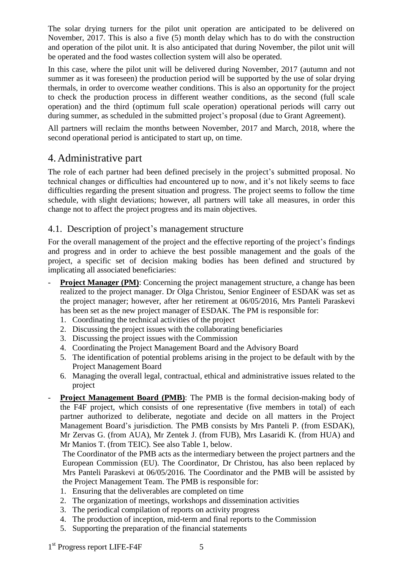The solar drying turners for the pilot unit operation are anticipated to be delivered on November, 2017. This is also a five (5) month delay which has to do with the construction and operation of the pilot unit. It is also anticipated that during November, the pilot unit will be operated and the food wastes collection system will also be operated.

In this case, where the pilot unit will be delivered during November, 2017 (autumn and not summer as it was foreseen) the production period will be supported by the use of solar drying thermals, in order to overcome weather conditions. This is also an opportunity for the project to check the production process in different weather conditions, as the second (full scale operation) and the third (optimum full scale operation) operational periods will carry out during summer, as scheduled in the submitted project's proposal (due to Grant Agreement).

All partners will reclaim the months between November, 2017 and March, 2018, where the second operational period is anticipated to start up, on time.

## <span id="page-4-0"></span>4.Administrative part

The role of each partner had been defined precisely in the project's submitted proposal. No technical changes or difficulties had encountered up to now, and it's not likely seems to face difficulties regarding the present situation and progress. The project seems to follow the time schedule, with slight deviations; however, all partners will take all measures, in order this change not to affect the project progress and its main objectives.

### <span id="page-4-1"></span>4.1. Description of project's management structure

For the overall management of the project and the effective reporting of the project's findings and progress and in order to achieve the best possible management and the goals of the project, a specific set of decision making bodies has been defined and structured by implicating all associated beneficiaries:

- **Project Manager (PM):** Concerning the project management structure, a change has been realized to the project manager. Dr Olga Christou, Senior Engineer of ESDAK was set as the project manager; however, after her retirement at 06/05/2016, Mrs Panteli Paraskevi has been set as the new project manager of ESDAK. The PM is responsible for:
	- 1. Coordinating the technical activities of the project
	- 2. Discussing the project issues with the collaborating beneficiaries
	- 3. Discussing the project issues with the Commission
	- 4. Coordinating the Project Management Board and the Advisory Board
	- 5. The identification of potential problems arising in the project to be default with by the Project Management Board
	- 6. Managing the overall legal, contractual, ethical and administrative issues related to the project
- **Project Management Board (PMB):** The PMB is the formal decision-making body of the F4F project, which consists of one representative (five members in total) of each partner authorized to deliberate, negotiate and decide on all matters in the Project Management Board's jurisdiction. The PMB consists by Mrs Panteli P. (from ESDAK), Mr Zervas G. (from AUA), Mr Zentek J. (from FUB), Mrs Lasaridi K. (from HUA) and Mr Manios T. (from TEIC). See also Table 1, below.

The Coordinator of the PMB acts as the intermediary between the project partners and the European Commission (EU). The Coordinator, Dr Christou, has also been replaced by Mrs Panteli Paraskevi at 06/05/2016. The Coordinator and the PMB will be assisted by the Project Management Team. The PMB is responsible for:

- 1. Ensuring that the deliverables are completed on time
- 2. The organization of meetings, workshops and dissemination activities
- 3. The periodical compilation of reports on activity progress
- 4. The production of inception, mid-term and final reports to the Commission
- 5. Supporting the preparation of the financial statements

1<sup>st</sup> Progress report LIFE-F4F 5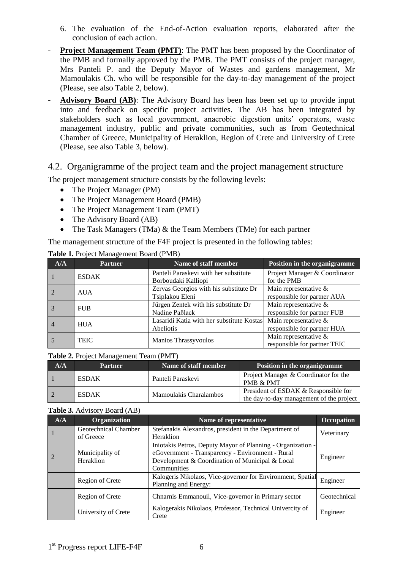- 6. The evaluation of the End-of-Action evaluation reports, elaborated after the conclusion of each action.
- **Project Management Team (PMT):** The PMT has been proposed by the Coordinator of the PMB and formally approved by the PMB. The PMT consists of the project manager, Mrs Panteli P. and the Deputy Mayor of Wastes and gardens management, Mr Mamoulakis Ch. who will be responsible for the day-to-day management of the project (Please, see also Table 2, below).
- **Advisory Board (AB)**: The Advisory Board has been has been set up to provide input into and feedback on specific project activities. The AB has been integrated by stakeholders such as local government, anaerobic digestion units' operators, waste management industry, public and private communities, such as from Geotechnical Chamber of Greece, Municipality of Heraklion, Region of Crete and University of Crete (Please, see also Table 3, below).

#### <span id="page-5-0"></span>4.2. Organigramme of the project team and the project management structure

The project management structure consists by the following levels:

- The Project Manager (PM)
- The Project Management Board (PMB)
- The Project Management Team (PMT)
- The Advisory Board (AB)
- The Task Managers (TMa) & the Team Members (TMe) for each partner

The management structure of the F4F project is presented in the following tables:

| $A/\overline{A}$ | <b>Partner</b> | Name of staff member                      | Position in the organigramme  |
|------------------|----------------|-------------------------------------------|-------------------------------|
|                  | <b>ESDAK</b>   | Panteli Paraskevi with her substitute     | Project Manager & Coordinator |
|                  |                | Borboudaki Kalliopi                       | for the PMB                   |
|                  | <b>AUA</b>     | Zervas Georgios with his substitute Dr    | Main representative $\&$      |
|                  |                | Tsiplakou Eleni                           | responsible for partner AUA   |
|                  | <b>FUB</b>     | Jürgen Zentek with his substitute Dr      | Main representative $\&$      |
|                  |                | Nadine Paßlack                            | responsible for partner FUB   |
| $\overline{4}$   | <b>HUA</b>     | Lasaridi Katia with her substitute Kostas | Main representative $\&$      |
|                  |                | Abeliotis                                 | responsible for partner HUA   |
|                  | <b>TEIC</b>    |                                           | Main representative &         |
|                  |                | Manios Thrassyvoulos                      | responsible for partner TEIC  |

**Table 1.** Project Management Board (PMB)

#### **Table 2.** Project Management Team (PMT)

| A/A | <b>Partner</b> | Name of staff member   | Position in the organigramme                                                     |
|-----|----------------|------------------------|----------------------------------------------------------------------------------|
|     | <b>ESDAK</b>   | Panteli Paraskevi      | Project Manager & Coordinator for the<br><b>PMB &amp; PMT</b>                    |
|     | <b>ESDAK</b>   | Mamoulakis Charalambos | President of ESDAK & Responsible for<br>the day-to-day management of the project |

#### **Table 3.** Advisory Board (AB)

| A/A | Organization                                                                                          | Name of representative                                                                                                                                                            | Occupation   |
|-----|-------------------------------------------------------------------------------------------------------|-----------------------------------------------------------------------------------------------------------------------------------------------------------------------------------|--------------|
|     | Geotechnical Chamber<br>of Greece                                                                     | Stefanakis Alexandros, president in the Department of<br>Heraklion                                                                                                                | Veterinary   |
|     | Municipality of<br>Heraklion                                                                          | Iniotakis Petros, Deputy Mayor of Planning - Organization -<br>eGovernment - Transparency - Environment - Rural<br>Development & Coordination of Municipal & Local<br>Communities | Engineer     |
|     | Kalogeris Nikolaos, Vice-governor for Environment, Spatial<br>Region of Crete<br>Planning and Energy: |                                                                                                                                                                                   | Engineer     |
|     | Chnarnis Emmanouil, Vice-governor in Primary sector<br>Region of Crete                                |                                                                                                                                                                                   | Geotechnical |
|     | University of Crete                                                                                   | Kalogerakis Nikolaos, Professor, Technical Univercity of<br>Crete                                                                                                                 | Engineer     |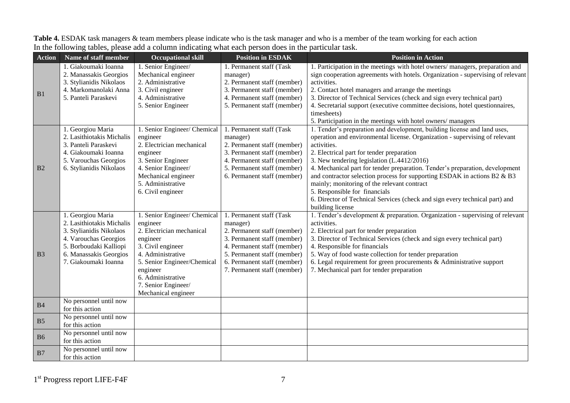| <b>Action</b>  | Name of staff member                                                                                                                                                           | <b>Occupational skill</b>                                                                                                                                                                                                                 | <b>Position in ESDAK</b>                                                                                                                                                                                                       | <b>Position in Action</b>                                                                                                                                                                                                                                                                                                                                                                                                                                                                                                                                                                                        |
|----------------|--------------------------------------------------------------------------------------------------------------------------------------------------------------------------------|-------------------------------------------------------------------------------------------------------------------------------------------------------------------------------------------------------------------------------------------|--------------------------------------------------------------------------------------------------------------------------------------------------------------------------------------------------------------------------------|------------------------------------------------------------------------------------------------------------------------------------------------------------------------------------------------------------------------------------------------------------------------------------------------------------------------------------------------------------------------------------------------------------------------------------------------------------------------------------------------------------------------------------------------------------------------------------------------------------------|
|                | 1. Giakoumaki Ioanna<br>2. Manassakis Georgios<br>3. Stylianidis Nikolaos                                                                                                      | 1. Senior Engineer/<br>Mechanical engineer<br>2. Administrative                                                                                                                                                                           | 1. Permanent staff (Task<br>manager)<br>2. Permanent staff (member)                                                                                                                                                            | 1. Participation in the meetings with hotel owners/managers, preparation and<br>sign cooperation agreements with hotels. Organization - supervising of relevant<br>activities.                                                                                                                                                                                                                                                                                                                                                                                                                                   |
| B1             | 4. Markomanolaki Anna<br>5. Panteli Paraskevi                                                                                                                                  | 3. Civil engineer<br>4. Administrative<br>5. Senior Engineer                                                                                                                                                                              | 3. Permanent staff (member)<br>4. Permanent staff (member)<br>5. Permanent staff (member)                                                                                                                                      | 2. Contact hotel managers and arrange the meetings<br>3. Director of Technical Services (check and sign every technical part)<br>4. Secretarial support (executive committee decisions, hotel questionnaires,<br>timesheets)<br>5. Participation in the meetings with hotel owners/managers                                                                                                                                                                                                                                                                                                                      |
| B2             | 1. Georgiou Maria<br>2. Lasithiotakis Michalis<br>3. Panteli Paraskevi<br>4. Giakoumaki Ioanna<br>5. Varouchas Georgios<br>6. Stylianidis Nikolaos                             | 1. Senior Engineer/ Chemical<br>engineer<br>2. Electrician mechanical<br>engineer<br>3. Senior Engineer<br>4. Senior Engineer/<br>Mechanical engineer<br>5. Administrative<br>6. Civil engineer                                           | 1. Permanent staff (Task<br>manager)<br>2. Permanent staff (member)<br>3. Permanent staff (member)<br>4. Permanent staff (member)<br>5. Permanent staff (member)<br>6. Permanent staff (member)                                | 1. Tender's preparation and development, building license and land uses,<br>operation and environmental license. Organization - supervising of relevant<br>activities.<br>2. Electrical part for tender preparation<br>3. New tendering legislation (L.4412/2016)<br>4. Mechanical part for tender preparation. Tender's preparation, development<br>and contractor selection process for supporting ESDAK in actions B2 & B3<br>mainly; monitoring of the relevant contract<br>5. Responsible for financials<br>6. Director of Technical Services (check and sign every technical part) and<br>building license |
| B <sub>3</sub> | 1. Georgiou Maria<br>2. Lasithiotakis Michalis<br>3. Stylianidis Nikolaos<br>4. Varouchas Georgios<br>5. Borboudaki Kalliopi<br>6. Manassakis Georgios<br>7. Giakoumaki Ioanna | 1. Senior Engineer/ Chemical<br>engineer<br>2. Electrician mechanical<br>engineer<br>3. Civil engineer<br>4. Administrative<br>5. Senior Engineer/Chemical<br>engineer<br>6. Administrative<br>7. Senior Engineer/<br>Mechanical engineer | 1. Permanent staff (Task<br>manager)<br>2. Permanent staff (member)<br>3. Permanent staff (member)<br>4. Permanent staff (member)<br>5. Permanent staff (member)<br>6. Permanent staff (member)<br>7. Permanent staff (member) | 1. Tender's development & preparation. Organization - supervising of relevant<br>activities.<br>2. Electrical part for tender preparation<br>3. Director of Technical Services (check and sign every technical part)<br>4. Responsible for financials<br>5. Way of food waste collection for tender preparation<br>6. Legal requirement for green procurements $&$ Administrative support<br>7. Mechanical part for tender preparation                                                                                                                                                                           |
| B4             | No personnel until now<br>for this action                                                                                                                                      |                                                                                                                                                                                                                                           |                                                                                                                                                                                                                                |                                                                                                                                                                                                                                                                                                                                                                                                                                                                                                                                                                                                                  |
| B <sub>5</sub> | No personnel until now<br>for this action                                                                                                                                      |                                                                                                                                                                                                                                           |                                                                                                                                                                                                                                |                                                                                                                                                                                                                                                                                                                                                                                                                                                                                                                                                                                                                  |
| <b>B6</b>      | No personnel until now<br>for this action                                                                                                                                      |                                                                                                                                                                                                                                           |                                                                                                                                                                                                                                |                                                                                                                                                                                                                                                                                                                                                                                                                                                                                                                                                                                                                  |
| B7             | No personnel until now<br>for this action                                                                                                                                      |                                                                                                                                                                                                                                           |                                                                                                                                                                                                                                |                                                                                                                                                                                                                                                                                                                                                                                                                                                                                                                                                                                                                  |

**Table 4.** ESDAK task managers & team members please indicate who is the task manager and who is a member of the team working for each action In the following tables, please add a column indicating what each person does in the particular task.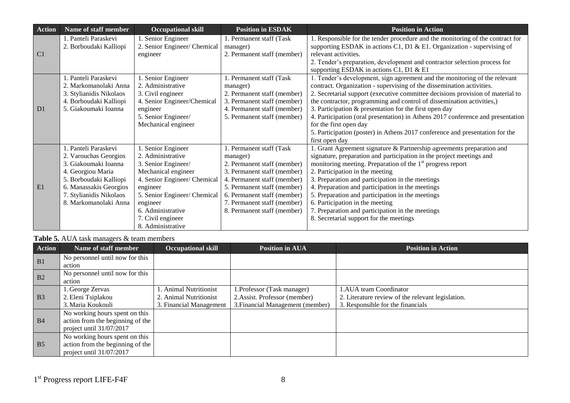| <b>Action</b>  | Name of staff member                          | <b>Occupational skill</b>                       | <b>Position in ESDAK</b>             | <b>Position in Action</b>                                                                                                                                |
|----------------|-----------------------------------------------|-------------------------------------------------|--------------------------------------|----------------------------------------------------------------------------------------------------------------------------------------------------------|
|                | . Panteli Paraskevi<br>2. Borboudaki Kalliopi | Senior Engineer<br>2. Senior Engineer/ Chemical | 1. Permanent staff (Task<br>manager) | 1. Responsible for the tender procedure and the monitoring of the contract for<br>supporting ESDAK in actions C1, D1 & E1. Organization - supervising of |
| C <sub>1</sub> |                                               | engineer                                        | 2. Permanent staff (member)          | relevant activities.                                                                                                                                     |
|                |                                               |                                                 |                                      | 2. Tender's preparation, development and contractor selection process for<br>supporting ESDAK in actions C1, D1 & E1                                     |
|                | 1. Panteli Paraskevi                          | 1. Senior Engineer                              | 1. Permanent staff (Task             | 1. Tender's development, sign agreement and the monitoring of the relevant                                                                               |
|                | 2. Markomanolaki Anna                         | 2. Administrative                               | manager)                             | contract. Organization - supervising of the dissemination activities.                                                                                    |
|                | 3. Stylianidis Nikolaos                       | 3. Civil engineer                               | 2. Permanent staff (member)          | 2. Secretarial support (executive committee decisions provision of material to                                                                           |
|                | 4. Borboudaki Kalliopi                        | 4. Senior Engineer/Chemical                     | 3. Permanent staff (member)          | the contractor, programming and control of dissemination activities,)                                                                                    |
| D1             | 5. Giakoumaki Ioanna                          | engineer                                        | 4. Permanent staff (member)          | 3. Participation $\&$ presentation for the first open day                                                                                                |
|                |                                               | 5. Senior Engineer/                             | 5. Permanent staff (member)          | 4. Participation (oral presentation) in Athens 2017 conference and presentation                                                                          |
|                |                                               | Mechanical engineer                             |                                      | for the first open day                                                                                                                                   |
|                |                                               |                                                 |                                      | 5. Participation (poster) in Athens 2017 conference and presentation for the                                                                             |
|                |                                               |                                                 |                                      | first open day                                                                                                                                           |
|                | 1. Panteli Paraskevi                          | . Senior Engineer                               | 1. Permanent staff (Task             | 1. Grant Agreement signature & Partnership agreements preparation and                                                                                    |
|                | 2. Varouchas Georgios                         | 2. Administrative                               | manager)                             | signature, preparation and participation in the project meetings and                                                                                     |
|                | 3. Giakoumaki Ioanna                          | 3. Senior Engineer/                             | 2. Permanent staff (member)          | monitoring meeting. Preparation of the $1st$ progress report                                                                                             |
|                | 4. Georgiou Maria                             | Mechanical engineer                             | 3. Permanent staff (member)          | 2. Participation in the meeting                                                                                                                          |
|                | 5. Borboudaki Kalliopi                        | 4. Senior Engineer/ Chemical                    | 4. Permanent staff (member)          | 3. Preparation and participation in the meetings                                                                                                         |
| E1             | 6. Manassakis Georgios                        | engineer                                        | 5. Permanent staff (member)          | 4. Preparation and participation in the meetings                                                                                                         |
|                | 7. Stylianidis Nikolaos                       | 5. Senior Engineer/ Chemical                    | 6. Permanent staff (member)          | 5. Preparation and participation in the meetings                                                                                                         |
|                | 8. Markomanolaki Anna                         | engineer                                        | 7. Permanent staff (member)          | 6. Participation in the meeting                                                                                                                          |
|                |                                               | 6. Administrative                               | 8. Permanent staff (member)          | 7. Preparation and participation in the meetings                                                                                                         |
|                |                                               | 7. Civil engineer                               |                                      | 8. Secretarial support for the meetings                                                                                                                  |
|                |                                               | 8. Administrative                               |                                      |                                                                                                                                                          |

### **Table 5.** AUA task managers & team members

| <b>Action</b>  | Name of staff member             | <b>Occupational skill</b> | <b>Position in AUA</b>           | <b>Position in Action</b>                         |
|----------------|----------------------------------|---------------------------|----------------------------------|---------------------------------------------------|
| B1             | No personnel until now for this  |                           |                                  |                                                   |
|                | action                           |                           |                                  |                                                   |
| B <sub>2</sub> | No personnel until now for this  |                           |                                  |                                                   |
|                | action                           |                           |                                  |                                                   |
|                | . George Zervas                  | Animal Nutritionist       | Professor (Task manager)         | <b>.AUA</b> team Coordinator                      |
| B <sub>3</sub> | 2. Eleni Tsiplakou               | 2. Animal Nutritionist    | 2. Assist. Professor (member)    | 2. Literature review of the relevant legislation. |
|                | 3. Maria Koukouli                | 3. Financial Management   | 3. Financial Management (member) | 3. Responsible for the financials                 |
|                | No working hours spent on this   |                           |                                  |                                                   |
| B <sub>4</sub> | action from the beginning of the |                           |                                  |                                                   |
|                | project until $31/07/2017$       |                           |                                  |                                                   |
|                | No working hours spent on this   |                           |                                  |                                                   |
| B <sub>5</sub> | action from the beginning of the |                           |                                  |                                                   |
|                | project until 31/07/2017         |                           |                                  |                                                   |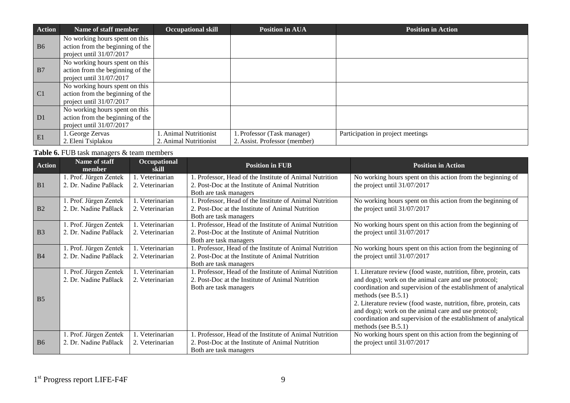| <b>Action</b>  | Name of staff member             | <b>Occupational skill</b> | <b>Position in AUA</b>        | <b>Position in Action</b>         |
|----------------|----------------------------------|---------------------------|-------------------------------|-----------------------------------|
|                | No working hours spent on this   |                           |                               |                                   |
| <b>B6</b>      | action from the beginning of the |                           |                               |                                   |
|                | project until $31/07/2017$       |                           |                               |                                   |
|                | No working hours spent on this   |                           |                               |                                   |
| B7             | action from the beginning of the |                           |                               |                                   |
|                | project until $31/07/2017$       |                           |                               |                                   |
|                | No working hours spent on this   |                           |                               |                                   |
| C <sub>1</sub> | action from the beginning of the |                           |                               |                                   |
|                | project until $31/07/2017$       |                           |                               |                                   |
|                | No working hours spent on this   |                           |                               |                                   |
| D1             | action from the beginning of the |                           |                               |                                   |
|                | project until 31/07/2017         |                           |                               |                                   |
| E1             | 1. George Zervas                 | . Animal Nutritionist     | . Professor (Task manager)    | Participation in project meetings |
|                | 2. Eleni Tsiplakou               | 2. Animal Nutritionist    | 2. Assist. Professor (member) |                                   |

#### Table 6. FUB task managers & team members

| <b>Action</b>  | Name of staff<br>member | Occupational<br>skill | <b>Position in FUB</b>                                                     | <b>Position in Action</b>                                         |
|----------------|-------------------------|-----------------------|----------------------------------------------------------------------------|-------------------------------------------------------------------|
|                | 1. Prof. Jürgen Zentek  | 1. Veterinarian       | 1. Professor, Head of the Institute of Animal Nutrition                    | No working hours spent on this action from the beginning of       |
| B <sub>1</sub> | 2. Dr. Nadine Paßlack   | 2. Veterinarian       | 2. Post-Doc at the Institute of Animal Nutrition<br>Both are task managers | the project until $31/07/2017$                                    |
|                | 1. Prof. Jürgen Zentek  | 1. Veterinarian       | Professor, Head of the Institute of Animal Nutrition                       | No working hours spent on this action from the beginning of       |
| B <sub>2</sub> | 2. Dr. Nadine Paßlack   | 2. Veterinarian       | 2. Post-Doc at the Institute of Animal Nutrition                           | the project until $31/07/2017$                                    |
|                |                         |                       | Both are task managers                                                     |                                                                   |
|                | 1. Prof. Jürgen Zentek  | 1. Veterinarian       | . Professor, Head of the Institute of Animal Nutrition                     | No working hours spent on this action from the beginning of       |
| B <sub>3</sub> | 2. Dr. Nadine Paßlack   | 2. Veterinarian       | 2. Post-Doc at the Institute of Animal Nutrition<br>Both are task managers | the project until $31/07/2017$                                    |
|                | 1. Prof. Jürgen Zentek  | 1. Veterinarian       | 1. Professor, Head of the Institute of Animal Nutrition                    | No working hours spent on this action from the beginning of       |
| B <sub>4</sub> | 2. Dr. Nadine Paßlack   | 2. Veterinarian       | 2. Post-Doc at the Institute of Animal Nutrition                           | the project until $31/07/2017$                                    |
|                |                         |                       | Both are task managers                                                     |                                                                   |
|                | 1. Prof. Jürgen Zentek  | 1. Veterinarian       | . Professor, Head of the Institute of Animal Nutrition                     | 1. Literature review (food waste, nutrition, fibre, protein, cats |
|                | 2. Dr. Nadine Paßlack   | 2. Veterinarian       | 2. Post-Doc at the Institute of Animal Nutrition                           | and dogs); work on the animal care and use protocol;              |
|                |                         |                       | Both are task managers                                                     | coordination and supervision of the establishment of analytical   |
| B <sub>5</sub> |                         |                       |                                                                            | methods (see $B.5.1$ )                                            |
|                |                         |                       |                                                                            | 2. Literature review (food waste, nutrition, fibre, protein, cats |
|                |                         |                       |                                                                            | and dogs); work on the animal care and use protocol;              |
|                |                         |                       |                                                                            | coordination and supervision of the establishment of analytical   |
|                |                         |                       |                                                                            | methods (see $B.5.1$ )                                            |
|                | 1. Prof. Jürgen Zentek  | 1. Veterinarian       | Professor, Head of the Institute of Animal Nutrition                       | No working hours spent on this action from the beginning of       |
| <b>B6</b>      | 2. Dr. Nadine Paßlack   | 2. Veterinarian       | 2. Post-Doc at the Institute of Animal Nutrition                           | the project until $31/07/2017$                                    |
|                |                         |                       | Both are task managers                                                     |                                                                   |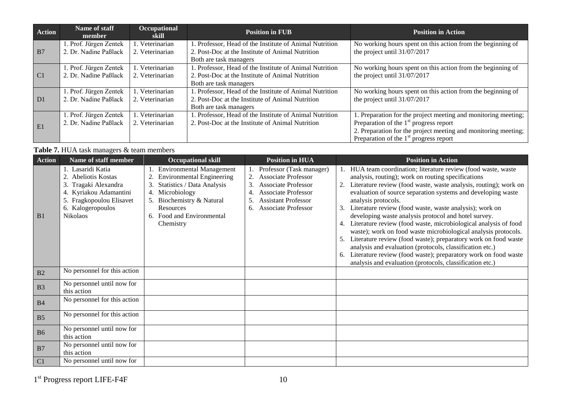| <b>Action</b>  | Name of staff<br>member                        | <b>Occupational</b><br>skill       | <b>Position in FUB</b>                                                                                     | <b>Position in Action</b>                                                                   |
|----------------|------------------------------------------------|------------------------------------|------------------------------------------------------------------------------------------------------------|---------------------------------------------------------------------------------------------|
| B7             | . Prof. Jürgen Zentek<br>2. Dr. Nadine Paßlack | 1. Veterinarian<br>2. Veterinarian | . Professor, Head of the Institute of Animal Nutrition<br>2. Post-Doc at the Institute of Animal Nutrition | No working hours spent on this action from the beginning of<br>the project until 31/07/2017 |
|                |                                                |                                    | Both are task managers                                                                                     |                                                                                             |
|                | . Prof. Jürgen Zentek                          | 1. Veterinarian                    | . Professor, Head of the Institute of Animal Nutrition                                                     | No working hours spent on this action from the beginning of                                 |
| C <sub>1</sub> | 2. Dr. Nadine Paßlack                          | 2. Veterinarian                    | 2. Post-Doc at the Institute of Animal Nutrition                                                           | the project until 31/07/2017                                                                |
|                |                                                |                                    | Both are task managers                                                                                     |                                                                                             |
|                | . Prof. Jürgen Zentek                          | l. Veterinarian                    | . Professor, Head of the Institute of Animal Nutrition                                                     | No working hours spent on this action from the beginning of                                 |
| D <sub>1</sub> | 2. Dr. Nadine Paßlack                          | 2. Veterinarian                    | 2. Post-Doc at the Institute of Animal Nutrition                                                           | the project until 31/07/2017                                                                |
|                |                                                |                                    | Both are task managers                                                                                     |                                                                                             |
|                | . Prof. Jürgen Zentek                          | 1. Veterinarian                    | . Professor, Head of the Institute of Animal Nutrition                                                     | 1. Preparation for the project meeting and monitoring meeting;                              |
| E1             | 2. Dr. Nadine Paßlack                          | 2. Veterinarian                    | 2. Post-Doc at the Institute of Animal Nutrition                                                           | Preparation of the $1st$ progress report                                                    |
|                |                                                |                                    |                                                                                                            | 2. Preparation for the project meeting and monitoring meeting;                              |
|                |                                                |                                    |                                                                                                            | Preparation of the $1st$ progress report                                                    |

#### Table 7. HUA task managers & team members

| <b>Action</b>  | Name of staff member                                                                                                                                     | <b>Occupational skill</b>                                                                                                                                                                                                | <b>Position in HUA</b>                                                                                                                                                                     | <b>Position in Action</b>                                                                                                                                                                                                                                                                                                                                                                                                                                                                                                                                                                                                                                                                                                                                                                                             |
|----------------|----------------------------------------------------------------------------------------------------------------------------------------------------------|--------------------------------------------------------------------------------------------------------------------------------------------------------------------------------------------------------------------------|--------------------------------------------------------------------------------------------------------------------------------------------------------------------------------------------|-----------------------------------------------------------------------------------------------------------------------------------------------------------------------------------------------------------------------------------------------------------------------------------------------------------------------------------------------------------------------------------------------------------------------------------------------------------------------------------------------------------------------------------------------------------------------------------------------------------------------------------------------------------------------------------------------------------------------------------------------------------------------------------------------------------------------|
| B <sub>1</sub> | 1. Lasaridi Katia<br>Abeliotis Kostas<br>Tragaki Alexandra<br>3.<br>Kyriakou Adamantini<br>Fragkopoulou Elisavet<br>6. Kalogeropoulos<br><b>Nikolaos</b> | <b>Environmental Management</b><br><b>Environmental Engineering</b><br>2.<br>3. Statistics / Data Analysis<br>4. Microbiology<br>5. Biochemistry & Natural<br><b>Resources</b><br>6. Food and Environmental<br>Chemistry | 1. Professor (Task manager)<br>Associate Professor<br>2.<br>Associate Professor<br>3.<br>Associate Professor<br>4.<br><b>Assistant Professor</b><br>5.<br><b>Associate Professor</b><br>6. | 1. HUA team coordination; literature review (food waste, waste<br>analysis, routing); work on routing specifications<br>Literature review (food waste, waste analysis, routing); work on<br>evaluation of source separation systems and developing waste<br>analysis protocols.<br>Literature review (food waste, waste analysis); work on<br>3.<br>developing waste analysis protocol and hotel survey.<br>Literature review (food waste, microbiological analysis of food<br>4.<br>waste); work on food waste microbiological analysis protocols.<br>Literature review (food waste); preparatory work on food waste<br>analysis and evaluation (protocols, classification etc.)<br>Literature review (food waste); preparatory work on food waste<br>6.<br>analysis and evaluation (protocols, classification etc.) |
| B <sub>2</sub> | No personnel for this action                                                                                                                             |                                                                                                                                                                                                                          |                                                                                                                                                                                            |                                                                                                                                                                                                                                                                                                                                                                                                                                                                                                                                                                                                                                                                                                                                                                                                                       |
| B <sub>3</sub> | No personnel until now for<br>this action                                                                                                                |                                                                                                                                                                                                                          |                                                                                                                                                                                            |                                                                                                                                                                                                                                                                                                                                                                                                                                                                                                                                                                                                                                                                                                                                                                                                                       |
| <b>B4</b>      | No personnel for this action                                                                                                                             |                                                                                                                                                                                                                          |                                                                                                                                                                                            |                                                                                                                                                                                                                                                                                                                                                                                                                                                                                                                                                                                                                                                                                                                                                                                                                       |
| B <sub>5</sub> | No personnel for this action                                                                                                                             |                                                                                                                                                                                                                          |                                                                                                                                                                                            |                                                                                                                                                                                                                                                                                                                                                                                                                                                                                                                                                                                                                                                                                                                                                                                                                       |
| <b>B6</b>      | No personnel until now for<br>this action                                                                                                                |                                                                                                                                                                                                                          |                                                                                                                                                                                            |                                                                                                                                                                                                                                                                                                                                                                                                                                                                                                                                                                                                                                                                                                                                                                                                                       |
| B7             | No personnel until now for<br>this action                                                                                                                |                                                                                                                                                                                                                          |                                                                                                                                                                                            |                                                                                                                                                                                                                                                                                                                                                                                                                                                                                                                                                                                                                                                                                                                                                                                                                       |
| C <sub>1</sub> | No personnel until now for                                                                                                                               |                                                                                                                                                                                                                          |                                                                                                                                                                                            |                                                                                                                                                                                                                                                                                                                                                                                                                                                                                                                                                                                                                                                                                                                                                                                                                       |

1<sup>st</sup> Progress report LIFE-F4F 10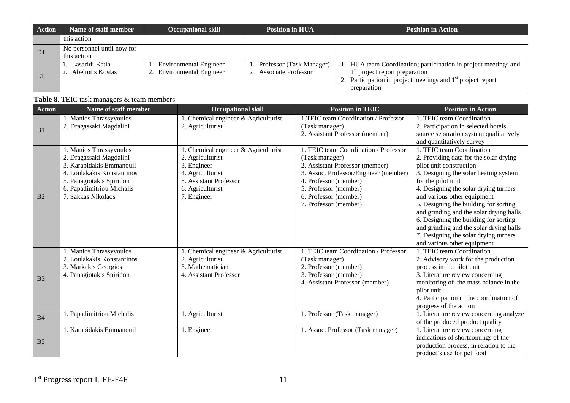| <b>Action</b>  | Name of staff member                      | <b>Occupational skill</b>                              | <b>Position in HUA</b>                          | <b>Position in Action</b>                                                                                                                                                           |
|----------------|-------------------------------------------|--------------------------------------------------------|-------------------------------------------------|-------------------------------------------------------------------------------------------------------------------------------------------------------------------------------------|
|                | this action                               |                                                        |                                                 |                                                                                                                                                                                     |
| D <sub>1</sub> | No personnel until now for<br>this action |                                                        |                                                 |                                                                                                                                                                                     |
| E1             | 1. Lasaridi Katia<br>2. Abeliotis Kostas  | 1. Environmental Engineer<br>2. Environmental Engineer | Professor (Task Manager)<br>Associate Professor | 1. HUA team Coordination; participation in project meetings and<br>$1st$ project report preparation<br>2. Participation in project meetings and $1st$ project report<br>preparation |

| Table 8. TEIC task managers & team members |  |
|--------------------------------------------|--|
|--------------------------------------------|--|

| <b>Action</b>  | Name of staff member                                                                                                                                                                        | <b>Occupational skill</b>                                                                                                                               | <b>Position in TEIC</b>                                                                                                                                                                                                                 | <b>Position in Action</b>                                                                                                                                                                                                                                                                                                                                                                                                                                                             |
|----------------|---------------------------------------------------------------------------------------------------------------------------------------------------------------------------------------------|---------------------------------------------------------------------------------------------------------------------------------------------------------|-----------------------------------------------------------------------------------------------------------------------------------------------------------------------------------------------------------------------------------------|---------------------------------------------------------------------------------------------------------------------------------------------------------------------------------------------------------------------------------------------------------------------------------------------------------------------------------------------------------------------------------------------------------------------------------------------------------------------------------------|
| B1             | 1. Manios Thrassyvoulos<br>2. Dragassaki Magdalini                                                                                                                                          | 1. Chemical engineer & Agriculturist<br>2. Agriculturist                                                                                                | 1.TEIC team Coordination / Professor<br>(Task manager)<br>2. Assistant Professor (member)                                                                                                                                               | 1. TEIC team Coordination<br>2. Participation in selected hotels<br>source separation system qualitatively<br>and quantitatively survey                                                                                                                                                                                                                                                                                                                                               |
| B2             | 1. Manios Thrassyvoulos<br>2. Dragassaki Magdalini<br>3. Karapidakis Emmanouil<br>4. Loulakakis Konstantinos<br>5. Panagiotakis Spiridon<br>6. Papadimitriou Michalis<br>7. Sakkas Nikolaos | . Chemical engineer & Agriculturist<br>2. Agriculturist<br>3. Engineer<br>4. Agriculturist<br>5. Assistant Professor<br>6. Agriculturist<br>7. Engineer | 1. TEIC team Coordination / Professor<br>(Task manager)<br>2. Assistant Professor (member)<br>3. Assoc. Professor/Engineer (member)<br>4. Professor (member)<br>5. Professor (member)<br>6. Professor (member)<br>7. Professor (member) | 1. TEIC team Coordination<br>2. Providing data for the solar drying<br>pilot unit construction<br>3. Designing the solar heating system<br>for the pilot unit<br>4. Designing the solar drying turners<br>and various other equipment<br>5. Designing the building for sorting<br>and grinding and the solar drying halls<br>6. Designing the building for sorting<br>and grinding and the solar drying halls<br>7. Designing the solar drying turners<br>and various other equipment |
| B <sub>3</sub> | 1. Manios Thrassyvoulos<br>2. Loulakakis Konstantinos<br>3. Markakis Georgios<br>4. Panagiotakis Spiridon                                                                                   | . Chemical engineer & Agriculturist<br>2. Agriculturist<br>3. Mathematician<br>4. Assistant Professor                                                   | 1. TEIC team Coordination / Professor<br>(Task manager)<br>2. Professor (member)<br>3. Professor (member)<br>4. Assistant Professor (member)                                                                                            | 1. TEIC team Coordination<br>2. Advisory work for the production<br>process in the pilot unit<br>3. Literature review concerning<br>monitoring of the mass balance in the<br>pilot unit<br>4. Participation in the coordination of<br>progress of the action                                                                                                                                                                                                                          |
| B <sub>4</sub> | 1. Papadimitriou Michalis                                                                                                                                                                   | 1. Agriculturist                                                                                                                                        | 1. Professor (Task manager)                                                                                                                                                                                                             | 1. Literature review concerning analyze<br>of the produced product quality                                                                                                                                                                                                                                                                                                                                                                                                            |
| B <sub>5</sub> | 1. Karapidakis Emmanouil                                                                                                                                                                    | 1. Engineer                                                                                                                                             | 1. Assoc. Professor (Task manager)                                                                                                                                                                                                      | 1. Literature review concerning<br>indications of shortcomings of the<br>production process, in relation to the<br>product's use for pet food                                                                                                                                                                                                                                                                                                                                         |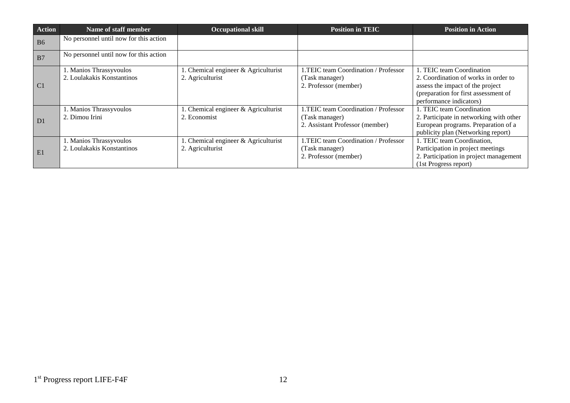| <b>Action</b>  | Name of staff member                                  | <b>Occupational skill</b>                                 | <b>Position in TEIC</b>                                                                   | <b>Position in Action</b>                                                                                                                                                |
|----------------|-------------------------------------------------------|-----------------------------------------------------------|-------------------------------------------------------------------------------------------|--------------------------------------------------------------------------------------------------------------------------------------------------------------------------|
| <b>B6</b>      | No personnel until now for this action                |                                                           |                                                                                           |                                                                                                                                                                          |
| B7             | No personnel until now for this action                |                                                           |                                                                                           |                                                                                                                                                                          |
| C <sub>1</sub> | 1. Manios Thrassyvoulos<br>2. Loulakakis Konstantinos | . Chemical engineer $&$ Agriculturist<br>2. Agriculturist | 1.TEIC team Coordination / Professor<br>(Task manager)<br>2. Professor (member)           | 1. TEIC team Coordination<br>2. Coordination of works in order to<br>assess the impact of the project<br>(preparation for first assessment of<br>performance indicators) |
| D <sub>1</sub> | 1. Manios Thrassyvoulos<br>2. Dimou Irini             | 1. Chemical engineer & Agriculturist<br>2. Economist      | 1.TEIC team Coordination / Professor<br>(Task manager)<br>2. Assistant Professor (member) | 1. TEIC team Coordination<br>2. Participate in networking with other<br>European programs. Preparation of a<br>publicity plan (Networking report)                        |
| E1             | 1. Manios Thrassyvoulos<br>2. Loulakakis Konstantinos | 1. Chemical engineer & Agriculturist<br>2. Agriculturist  | 1.TEIC team Coordination / Professor<br>(Task manager)<br>2. Professor (member)           | 1. TEIC team Coordination,<br>Participation in project meetings<br>2. Participation in project management<br>(1st Progress report)                                       |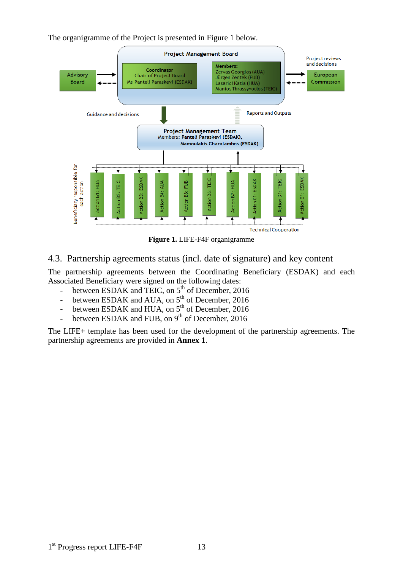The organigramme of the Project is presented in Figure 1 below.



**Figure 1.** LIFE-F4F organigramme

#### <span id="page-12-0"></span>4.3. Partnership agreements status (incl. date of signature) and key content

The partnership agreements between the Coordinating Beneficiary (ESDAK) and each Associated Beneficiary were signed on the following dates:

- between ESDAK and TEIC, on  $5<sup>th</sup>$  of December, 2016
- between ESDAK and AUA, on  $5<sup>th</sup>$  of December, 2016
- between ESDAK and HUA, on  $5<sup>th</sup>$  of December, 2016
- between ESDAK and FUB, on  $9<sup>th</sup>$  of December, 2016

The LIFE+ template has been used for the development of the partnership agreements. The partnership agreements are provided in **Annex 1**.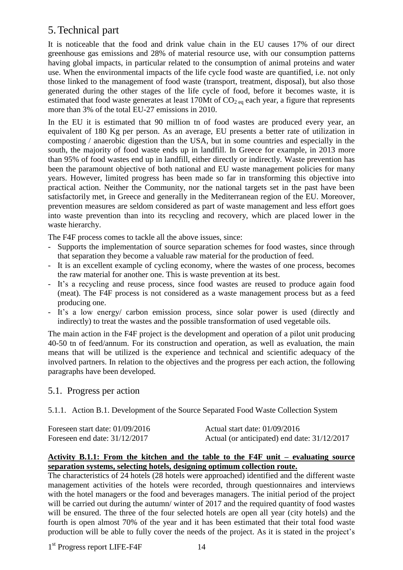## <span id="page-13-0"></span>5.Technical part

It is noticeable that the food and drink value chain in the EU causes 17% of our direct greenhouse gas emissions and 28% of material resource use, with our consumption patterns having global impacts, in particular related to the consumption of animal proteins and water use. When the environmental impacts of the life cycle food waste are quantified, i.e. not only those linked to the management of food waste (transport, treatment, disposal), but also those generated during the other stages of the life cycle of food, before it becomes waste, it is estimated that food waste generates at least 170Mt of  $CO<sub>2</sub>$  each year, a figure that represents more than 3% of the total EU-27 emissions in 2010.

In the EU it is estimated that 90 million tn of food wastes are produced every year, an equivalent of 180 Kg per person. As an average, EU presents a better rate of utilization in composting / anaerobic digestion than the USA, but in some countries and especially in the south, the majority of food waste ends up in landfill. In Greece for example, in 2013 more than 95% of food wastes end up in landfill, either directly or indirectly. Waste prevention has been the paramount objective of both national and EU waste management policies for many years. However, limited progress has been made so far in transforming this objective into practical action. Neither the Community, nor the national targets set in the past have been satisfactorily met, in Greece and generally in the Mediterranean region of the EU. Moreover, prevention measures are seldom considered as part of waste management and less effort goes into waste prevention than into its recycling and recovery, which are placed lower in the waste hierarchy.

The F4F process comes to tackle all the above issues, since:

- Supports the implementation of source separation schemes for food wastes, since through that separation they become a valuable raw material for the production of feed.
- It is an excellent example of cycling economy, where the wastes of one process, becomes the raw material for another one. This is waste prevention at its best.
- It's a recycling and reuse process, since food wastes are reused to produce again food (meat). The F4F process is not considered as a waste management process but as a feed producing one.
- It's a low energy/ carbon emission process, since solar power is used (directly and indirectly) to treat the wastes and the possible transformation of used vegetable oils.

The main action in the F4F project is the development and operation of a pilot unit producing 40-50 tn of feed/annum. For its construction and operation, as well as evaluation, the main means that will be utilized is the experience and technical and scientific adequacy of the involved partners. In relation to the objectives and the progress per each action, the following paragraphs have been developed.

### <span id="page-13-1"></span>5.1. Progress per action

<span id="page-13-2"></span>5.1.1. Action B.1. Development of the Source Separated Food Waste Collection System

| Foreseen start date: $01/09/2016$ | Actual start date: $01/09/2016$              |
|-----------------------------------|----------------------------------------------|
| Foreseen end date: $31/12/2017$   | Actual (or anticipated) end date: 31/12/2017 |

#### **Activity B.1.1: From the kitchen and the table to the F4F unit – evaluating source separation systems, selecting hotels, designing optimum collection route.**

The characteristics of 24 hotels (28 hotels were approached) identified and the different waste management activities of the hotels were recorded, through questionnaires and interviews with the hotel managers or the food and beverages managers. The initial period of the project will be carried out during the autumn/ winter of 2017 and the required quantity of food wastes will be ensured. The three of the four selected hotels are open all year (city hotels) and the fourth is open almost 70% of the year and it has been estimated that their total food waste production will be able to fully cover the needs of the project. As it is stated in the project's

1<sup>st</sup> Progress report LIFE-F4F 14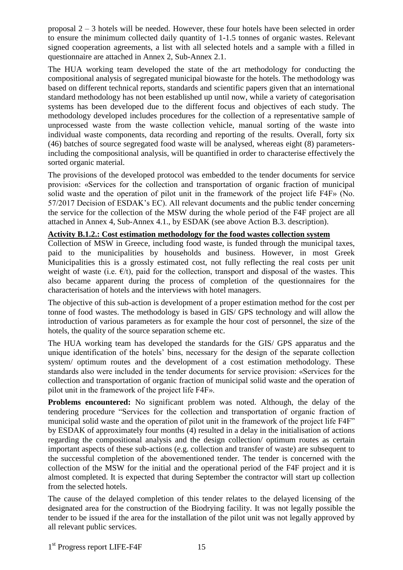proposal 2 – 3 hotels will be needed. However, these four hotels have been selected in order to ensure the minimum collected daily quantity of 1-1.5 tonnes of organic wastes. Relevant signed cooperation agreements, a list with all selected hotels and a sample with a filled in questionnaire are attached in Annex 2, Sub-Annex 2.1.

The HUA working team developed the state of the art methodology for conducting the compositional analysis of segregated municipal biowaste for the hotels. The methodology was based on different technical reports, standards and scientific papers given that an international standard methodology has not been established up until now, while a variety of categorisation systems has been developed due to the different focus and objectives of each study. The methodology developed includes procedures for the collection of a representative sample of unprocessed waste from the waste collection vehicle, manual sorting of the waste into individual waste components, data recording and reporting of the results. Overall, forty six (46) batches of source segregated food waste will be analysed, whereas eight (8) parametersincluding the compositional analysis, will be quantified in order to characterise effectively the sorted organic material.

The provisions of the developed protocol was embedded to the tender documents for service provision: «Services for the collection and transportation of organic fraction of municipal solid waste and the operation of pilot unit in the framework of the project life F4F» (No. 57/2017 Decision of ESDAK's EC). All relevant documents and the public tender concerning the service for the collection of the MSW during the whole period of the F4F project are all attached in Annex 4, Sub-Annex 4.1., by ESDAK (see above Action B.3. description).

#### **Activity B.1.2.: Cost estimation methodology for the food wastes collection system**

Collection of MSW in Greece, including food waste, is funded through the municipal taxes, paid to the municipalities by households and business. However, in most Greek Municipalities this is a grossly estimated cost, not fully reflecting the real costs per unit weight of waste (i.e.  $E/t$ ), paid for the collection, transport and disposal of the wastes. This also became apparent during the process of completion of the questionnaires for the characterisation of hotels and the interviews with hotel managers.

The objective of this sub-action is development of a proper estimation method for the cost per tonne of food wastes. The methodology is based in GIS/ GPS technology and will allow the introduction of various parameters as for example the hour cost of personnel, the size of the hotels, the quality of the source separation scheme etc.

The HUA working team has developed the standards for the GIS/ GPS apparatus and the unique identification of the hotels' bins, necessary for the design of the separate collection system/ optimum routes and the development of a cost estimation methodology. These standards also were included in the tender documents for service provision: «Services for the collection and transportation of organic fraction of municipal solid waste and the operation of pilot unit in the framework of the project life F4F».

**Problems encountered:** No significant problem was noted. Although, the delay of the tendering procedure "Services for the collection and transportation of organic fraction of municipal solid waste and the operation of pilot unit in the framework of the project life F4F" by ESDAK of approximately four months (4) resulted in a delay in the initialisation of actions regarding the compositional analysis and the design collection/ optimum routes as certain important aspects of these sub-actions (e.g. collection and transfer of waste) are subsequent to the successful completion of the abovementioned tender. The tender is concerned with the collection of the MSW for the initial and the operational period of the F4F project and it is almost completed. It is expected that during September the contractor will start up collection from the selected hotels.

The cause of the delayed completion of this tender relates to the delayed licensing of the designated area for the construction of the Biodrying facility. It was not legally possible the tender to be issued if the area for the installation of the pilot unit was not legally approved by all relevant public services.

1<sup>st</sup> Progress report LIFE-F4F 15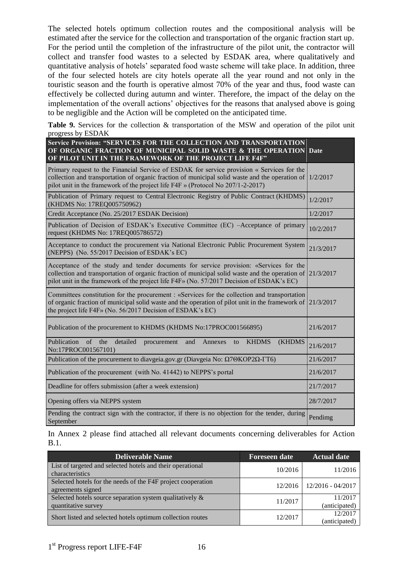The selected hotels optimum collection routes and the compositional analysis will be estimated after the service for the collection and transportation of the organic fraction start up. For the period until the completion of the infrastructure of the pilot unit, the contractor will collect and transfer food wastes to a selected by ESDAK area, where qualitatively and quantitative analysis of hotels' separated food waste scheme will take place. In addition, three of the four selected hotels are city hotels operate all the year round and not only in the touristic season and the fourth is operative almost 70% of the year and thus, food waste can effectively be collected during autumn and winter. Therefore, the impact of the delay on the implementation of the overall actions' objectives for the reasons that analysed above is going to be negligible and the Action will be completed on the anticipated time.

**Table 9.** Services for the collection & transportation of the MSW and operation of the pilot unit progress by ESDAK

| Service Provision: "SERVICES FOR THE COLLECTION AND TRANSPORTATION<br>OF ORGANIC FRACTION OF MUNICIPAL SOLID WASTE & THE OPERATION Date<br>OF PILOT UNIT IN THE FRAMEWORK OF THE PROJECT LIFE F4F"                                                                                    |           |
|---------------------------------------------------------------------------------------------------------------------------------------------------------------------------------------------------------------------------------------------------------------------------------------|-----------|
| Primary request to the Financial Service of ESDAK for service provision « Services for the<br>collection and transportation of organic fraction of municipal solid waste and the operation of<br>pilot unit in the framework of the project life F4F » (Protocol No 207/1-2-2017)     | 1/2/2017  |
| Publication of Primary request to Central Electronic Registry of Public Contract (KHDMS)<br>(KHDMS No: 17REQ005750962)                                                                                                                                                                | 1/2/2017  |
| Credit Acceptance (No. 25/2017 ESDAK Decision)                                                                                                                                                                                                                                        | 1/2/2017  |
| Publication of Decision of ESDAK's Executive Committee (EC) -Acceptance of primary<br>request (KHDMS No: 17REQ005786572)                                                                                                                                                              | 10/2/2017 |
| Acceptance to conduct the procurement via National Electronic Public Procurement System<br>(NEPPS) (No. 55/2017 Decision of ESDAK's EC)                                                                                                                                               | 21/3/2017 |
| Acceptance of the study and tender documents for service provision: «Services for the<br>collection and transportation of organic fraction of municipal solid waste and the operation of<br>pilot unit in the framework of the project life F4F» (No. 57/2017 Decision of ESDAK's EC) | 21/3/2017 |
| Committees constitution for the procurement : «Services for the collection and transportation<br>of organic fraction of municipal solid waste and the operation of pilot unit in the framework of<br>the project life F4F» (No. 56/2017 Decision of ESDAK's EC)                       | 21/3/2017 |
| Publication of the procurement to KHDMS (KHDMS No:17PROC001566895)                                                                                                                                                                                                                    | 21/6/2017 |
| Publication of the<br>detailed<br><b>KHDMS</b><br><b>(KHDMS)</b><br>and<br>Annexes<br>procurement<br>to<br>No:17PROC001567101)                                                                                                                                                        | 21/6/2017 |
| Publication of the procurement to diavgeia.gov.gr (Diavgeia No: Ω7ΘΚΟΡ2Ω-ΓΤ6)                                                                                                                                                                                                         | 21/6/2017 |
| Publication of the procurement (with No. 41442) to NEPPS's portal                                                                                                                                                                                                                     | 21/6/2017 |
| Deadline for offers submission (after a week extension)                                                                                                                                                                                                                               | 21/7/2017 |
| Opening offers via NEPPS system                                                                                                                                                                                                                                                       | 28/7/2017 |
| Pending the contract sign with the contractor, if there is no objection for the tender, during<br>September                                                                                                                                                                           | Pendimg   |

In Annex 2 please find attached all relevant documents concerning deliverables for Action B.1.

| <b>Deliverable Name</b>                                                           | <b>Foreseen date</b> | <b>Actual date</b>       |
|-----------------------------------------------------------------------------------|----------------------|--------------------------|
| List of targeted and selected hotels and their operational<br>characteristics     | 10/2016              | 11/2016                  |
| Selected hotels for the needs of the F4F project cooperation<br>agreements signed | 12/2016              | 12/2016 - 04/2017        |
| Selected hotels source separation system qualitatively &<br>quantitative survey   | 11/2017              | 11/2017<br>(anticipated) |
| Short listed and selected hotels optimum collection routes                        | 12/2017              | 12/2017<br>(anticipated) |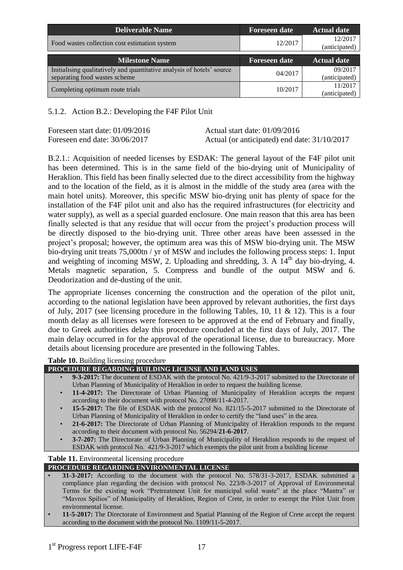| <b>Deliverable Name</b>                                                | <b>Foreseen date</b> | <b>Actual date</b>       |
|------------------------------------------------------------------------|----------------------|--------------------------|
| Food wastes collection cost estimation system                          | 12/2017              | 12/2017<br>(anticipated) |
| <b>Milestone Name</b>                                                  | <b>Foreseen date</b> | <b>Actual date</b>       |
| Initialising qualitatively and quantitative analysis of hotels' source |                      | 09/2017                  |
| separating food wastes scheme                                          | 04/2017              | (anticipated)            |
| Completing optimum route trials                                        |                      | 11/2017                  |
|                                                                        | 10/2017              |                          |

#### <span id="page-16-0"></span>5.1.2. Action B.2.: Developing the F4F Pilot Unit

Foreseen start date: 01/09/2016 Actual start date: 01/09/2016

Foreseen end date: 30/06/2017 Actual (or anticipated) end date: 31/10/2017

B.2.1.: Acquisition of needed licenses by ESDAK: The general layout of the F4F pilot unit has been determined. This is in the same field of the bio-drying unit of Municipality of Heraklion. This field has been finally selected due to the direct accessibility from the highway and to the location of the field, as it is almost in the middle of the study area (area with the main hotel units). Moreover, this specific MSW bio-drying unit has plenty of space for the installation of the F4F pilot unit and also has the required infrastructures (for electricity and water supply), as well as a special guarded enclosure. One main reason that this area has been finally selected is that any residue that will occur from the project's production process will be directly disposed to the bio-drying unit. Three other areas have been assessed in the project's proposal; however, the optimum area was this of MSW bio-drying unit. The MSW bio-drying unit treats 75,000tn / yr of MSW and includes the following process steps: 1. Input and weighting of incoming MSW, 2. Uploading and shredding, 3. A  $14<sup>th</sup>$  day bio-drying, 4. Metals magnetic separation, 5. Compress and bundle of the output MSW and 6. Deodorization and de-dusting of the unit.

The appropriate licenses concerning the construction and the operation of the pilot unit, according to the national legislation have been approved by relevant authorities, the first days of July, 2017 (see licensing procedure in the following Tables, 10, 11 & 12). This is a four month delay as all licenses were foreseen to be approved at the end of February and finally, due to Greek authorities delay this procedure concluded at the first days of July, 2017. The main delay occurred in for the approval of the operational license, due to bureaucracy. More details about licensing procedure are presented in the following Tables.

**Table 10.** Building licensing procedure

- **PROCEDURE REGARDING BUILDING LICENSE AND LAND USES** 
	- **9-3-2017:** The document of ESDAK with the protocol No. 421/9-3-2017 submitted to the Directorate of Urban Planning of Municipality of Heraklion in order to request the building license.
	- 11-4-2017: The Directorate of Urban Planning of Municipality of Heraklion accepts the request according to their document with protocol No. 27098/11-4-2017.
	- **15-5-2017:** The file of ESDAK with the protocol No. 821/15-5-2017 submitted to the Directorate of Urban Planning of Municipality of Heraklion in order to certify the "land uses" in the area.
	- **21-6-2017:** The Directorate of Urban Planning of Municipality of Heraklion responds to the request according to their document with protocol No. 56294/**21-6-2017**.
	- **3-7-207:** The Directorate of Urban Planning of Municipality of Heraklion responds to the request of ESDAK with protocol No. 421/9-3-2017 which exempts the pilot unit from a building license

#### **Table 11.** Environmental licensing procedure

#### **PROCEDURE REGARDING ENVIRONMENTAL LICENSE**

- **31-3-2017:** According to the document with the protocol No. 578/31-3-2017, ESDAK submitted a compliance plan regarding the decision with protocol No. 223/8-3-2017 of Approval of Environmental Terms for the existing work "Pretreatment Unit for municipal solid waste" at the place "Mantra" or "Mavros Spilios" of Municipality of Heraklion, Region of Crete, in order to exempt the Pilot Unit from environmental license.
- **11-5-2017:** The Directorate of Environment and Spatial Planning of the Region of Crete accept the request according to the document with the protocol No. 1109/11-5-2017.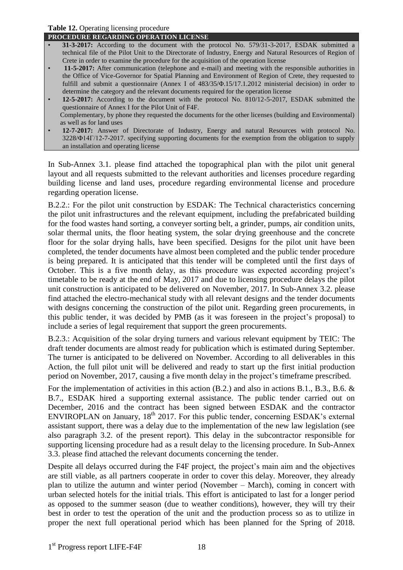#### **Table 12.** Operating licensing procedure

- **PROCEDURE REGARDING OPERATION LICENSE**
- **31-3-2017:** According to the document with the protocol No. 579/31-3-2017, ESDAK submitted a technical file of the Pilot Unit to the Directorate of Industry, Energy and Natural Resources of Region of Crete in order to examine the procedure for the acquisition of the operation license
- **11-5-2017:** After communication (telephone and e-mail) and meeting with the responsible authorities in the Office of Vice-Governor for Spatial Planning and Environment of Region of Crete, they requested to fulfill and submit a questionnaire (Annex Ι of 483/35/Φ.15/17.1.2012 ministerial decision) in order to determine the category and the relevant documents required for the operation license
- **12-5-2017:** According to the document with the protocol No. 810/12-5-2017, ESDAK submitted the questionnaire of Annex I for the Pilot Unit of F4F. Complementary, by phone they requested the documents for the other licenses (building and Environmental)
- as well as for land uses • **12-7-2017:** Answer of Directorate of Industry, Energy and natural Resources with protocol No. 3228/Φ14Γ/12-7-2017. specifying supporting documents for the exemption from the obligation to supply an installation and operating license

In Sub-Annex 3.1. please find attached the topographical plan with the pilot unit general layout and all requests submitted to the relevant authorities and licenses procedure regarding building license and land uses, procedure regarding environmental license and procedure regarding operation license.

B.2.2.: For the pilot unit construction by ESDAK: The Technical characteristics concerning the pilot unit infrastructures and the relevant equipment, including the prefabricated building for the food wastes hand sorting, a conveyer sorting belt, a grinder, pumps, air condition units, solar thermal units, the floor heating system, the solar drying greenhouse and the concrete floor for the solar drying halls, have been specified. Designs for the pilot unit have been completed, the tender documents have almost been completed and the public tender procedure is being prepared. It is anticipated that this tender will be completed until the first days of October. This is a five month delay, as this procedure was expected according project's timetable to be ready at the end of May, 2017 and due to licensing procedure delays the pilot unit construction is anticipated to be delivered on November, 2017. In Sub-Annex 3.2. please find attached the electro-mechanical study with all relevant designs and the tender documents with designs concerning the construction of the pilot unit. Regarding green procurements, in this public tender, it was decided by PMB (as it was foreseen in the project's proposal) to include a series of legal requirement that support the green procurements.

B.2.3.: Acquisition of the solar drying turners and various relevant equipment by TEIC: The draft tender documents are almost ready for publication which is estimated during September. The turner is anticipated to be delivered on November. According to all deliverables in this Action, the full pilot unit will be delivered and ready to start up the first initial production period on November, 2017, causing a five month delay in the project's timeframe prescribed.

For the implementation of activities in this action (B.2.) and also in actions B.1., B.3., B.6. & B.7., ESDAK hired a supporting external assistance. The public tender carried out on December, 2016 and the contract has been signed between ESDAK and the contractor ENVIROPLAN on January,  $18<sup>th</sup>$  2017. For this public tender, concerning ESDAK's external assistant support, there was a delay due to the implementation of the new law legislation (see also paragraph 3.2. of the present report). This delay in the subcontractor responsible for supporting licensing procedure had as a result delay to the licensing procedure. In Sub-Annex 3.3. please find attached the relevant documents concerning the tender.

Despite all delays occurred during the F4F project, the project's main aim and the objectives are still viable, as all partners cooperate in order to cover this delay. Moreover, they already plan to utilize the autumn and winter period (November – March), coming in concert with urban selected hotels for the initial trials. This effort is anticipated to last for a longer period as opposed to the summer season (due to weather conditions), however, they will try their best in order to test the operation of the unit and the production process so as to utilize in proper the next full operational period which has been planned for the Spring of 2018.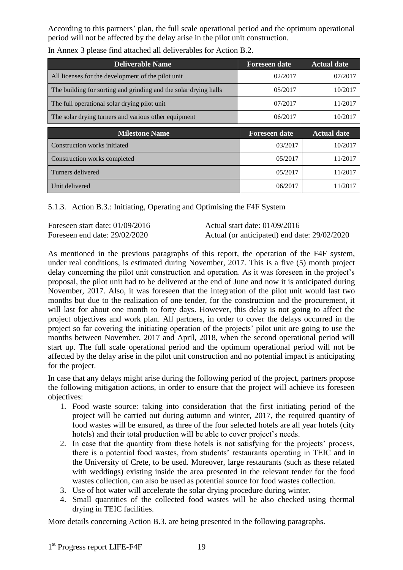According to this partners' plan, the full scale operational period and the optimum operational period will not be affected by the delay arise in the pilot unit construction.

| <b>Deliverable Name</b>                                          | <b>Foreseen date</b> | <b>Actual date</b> |
|------------------------------------------------------------------|----------------------|--------------------|
| All licenses for the development of the pilot unit               | 02/2017              | 07/2017            |
| The building for sorting and grinding and the solar drying halls | 05/2017              | 10/2017            |
| The full operational solar drying pilot unit                     | 07/2017              | 11/2017            |
| The solar drying turners and various other equipment             | 06/2017              | 10/2017            |
|                                                                  |                      |                    |
| <b>Milestone Name</b>                                            | <b>Foreseen date</b> | <b>Actual date</b> |
| Construction works initiated                                     | 03/2017              | 10/2017            |
| Construction works completed                                     | 05/2017              | 11/2017            |
| Turners delivered                                                | 05/2017              | 11/2017            |

In Annex 3 please find attached all deliverables for Action B.2.

<span id="page-18-0"></span>5.1.3. Action B.3.: Initiating, Operating and Optimising the F4F System

Foreseen start date: 01/09/2016 Actual start date: 01/09/2016

Foreseen end date: 29/02/2020 Actual (or anticipated) end date: 29/02/2020

As mentioned in the previous paragraphs of this report, the operation of the F4F system, under real conditions, is estimated during November, 2017. This is a five (5) month project delay concerning the pilot unit construction and operation. As it was foreseen in the project's proposal, the pilot unit had to be delivered at the end of June and now it is anticipated during November, 2017. Also, it was foreseen that the integration of the pilot unit would last two months but due to the realization of one tender, for the construction and the procurement, it will last for about one month to forty days. However, this delay is not going to affect the project objectives and work plan. All partners, in order to cover the delays occurred in the project so far covering the initiating operation of the projects' pilot unit are going to use the months between November, 2017 and April, 2018, when the second operational period will start up. The full scale operational period and the optimum operational period will not be affected by the delay arise in the pilot unit construction and no potential impact is anticipating for the project.

In case that any delays might arise during the following period of the project, partners propose the following mitigation actions, in order to ensure that the project will achieve its foreseen objectives:

- 1. Food waste source: taking into consideration that the first initiating period of the project will be carried out during autumn and winter, 2017, the required quantity of food wastes will be ensured, as three of the four selected hotels are all year hotels (city hotels) and their total production will be able to cover project's needs.
- 2. In case that the quantity from these hotels is not satisfying for the projects' process, there is a potential food wastes, from students' restaurants operating in TEIC and in the University of Crete, to be used. Moreover, large restaurants (such as these related with weddings) existing inside the area presented in the relevant tender for the food wastes collection, can also be used as potential source for food wastes collection.
- 3. Use of hot water will accelerate the solar drying procedure during winter.
- 4. Small quantities of the collected food wastes will be also checked using thermal drying in TEIC facilities.

More details concerning Action B.3. are being presented in the following paragraphs.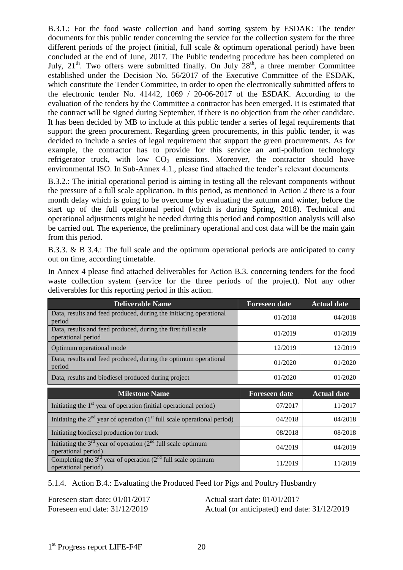B.3.1.: For the food waste collection and hand sorting system by ESDAK: The tender documents for this public tender concerning the service for the collection system for the three different periods of the project (initial, full scale & optimum operational period) have been concluded at the end of June, 2017. The Public tendering procedure has been completed on July,  $21<sup>th</sup>$ . Two offers were submitted finally. On July  $28<sup>th</sup>$ , a three member Committee established under the Decision No. 56/2017 of the Executive Committee of the ESDAK, which constitute the Tender Committee, in order to open the electronically submitted offers to the electronic tender No. 41442, 1069 / 20-06-2017 of the ESDAK. According to the evaluation of the tenders by the Committee a contractor has been emerged. It is estimated that the contract will be signed during September, if there is no objection from the other candidate. It has been decided by MB to include at this public tender a series of legal requirements that support the green procurement. Regarding green procurements, in this public tender, it was decided to include a series of legal requirement that support the green procurements. As for example, the contractor has to provide for this service an anti-pollution technology refrigerator truck, with low  $CO<sub>2</sub>$  emissions. Moreover, the contractor should have environmental ISO. In Sub-Annex 4.1., please find attached the tender's relevant documents.

B.3.2.: The initial operational period is aiming in testing all the relevant components without the pressure of a full scale application. In this period, as mentioned in Action 2 there is a four month delay which is going to be overcome by evaluating the autumn and winter, before the start up of the full operational period (which is during Spring, 2018). Technical and operational adjustments might be needed during this period and composition analysis will also be carried out. The experience, the preliminary operational and cost data will be the main gain from this period.

B.3.3. & B 3.4.: The full scale and the optimum operational periods are anticipated to carry out on time, according timetable.

In Annex 4 please find attached deliverables for Action B.3. concerning tenders for the food waste collection system (service for the three periods of the project). Not any other deliverables for this reporting period in this action.

| <b>Deliverable Name</b>                                                                        | <b>Foreseen date</b> | <b>Actual date</b> |
|------------------------------------------------------------------------------------------------|----------------------|--------------------|
| Data, results and feed produced, during the initiating operational<br>period                   | 01/2018              | 04/2018            |
| Data, results and feed produced, during the first full scale<br>operational period             | 01/2019              | 01/2019            |
| Optimum operational mode                                                                       | 12/2019              | 12/2019            |
| Data, results and feed produced, during the optimum operational<br>period                      | 01/2020              | 01/2020            |
| Data, results and biodiesel produced during project                                            | 01/2020              | 01/2020            |
|                                                                                                |                      |                    |
| <b>Milestone Name</b>                                                                          | <b>Foreseen date</b> | <b>Actual date</b> |
| Initiating the 1 <sup>st</sup> year of operation (initial operational period)                  | 07/2017              | 11/2017            |
| Initiating the $2nd$ year of operation (1 <sup>st</sup> full scale operational period)         | 04/2018              | 04/2018            |
| Initiating biodiesel production for truck                                                      | 08/2018              | 08/2018            |
| Initiating the $3^{rd}$ year of operation ( $2^{nd}$ full scale optimum<br>operational period) | 04/2019              | 04/2019            |

<span id="page-19-0"></span>5.1.4. Action B.4.: Evaluating the Produced Feed for Pigs and Poultry Husbandry

Foreseen start date: 01/01/2017 Actual start date: 01/01/2017

Foreseen end date: 31/12/2019 Actual (or anticipated) end date: 31/12/2019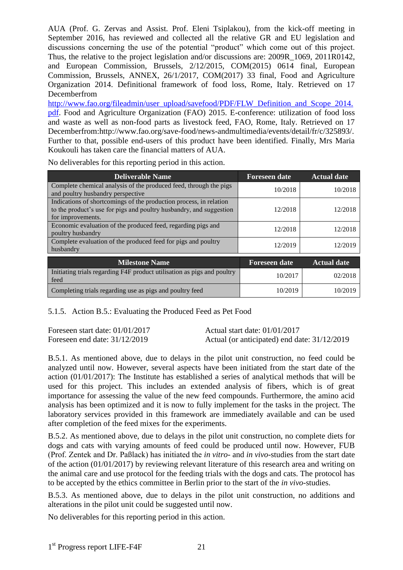AUA (Prof. G. Zervas and Assist. Prof. Eleni Tsiplakou), from the kick-off meeting in September 2016, has reviewed and collected all the relative GR and EU legislation and discussions concerning the use of the potential "product" which come out of this project. Thus, the relative to the project legislation and/or discussions are: 2009R\_1069, 2011R0142, and European Commission, Brussels, 2/12/2015, COM(2015) 0614 final, European Commission, Brussels, ANNEX, 26/1/2017, COM(2017) 33 final, Food and Agriculture Organization 2014. Definitional framework of food loss, Rome, Italy. Retrieved on 17 Decemberfrom

[http://www.fao.org/fileadmin/user\\_upload/savefood/PDF/FLW\\_Definition\\_and\\_Scope\\_2014.](http://www.fao.org/fileadmin/user_upload/savefood/PDF/FLW_Definition_and_Scope_2014.pdf) [pdf.](http://www.fao.org/fileadmin/user_upload/savefood/PDF/FLW_Definition_and_Scope_2014.pdf) Food and Agriculture Organization (FAO) 2015. E-conference: utilization of food loss and waste as well as non-food parts as livestock feed, FAO, Rome, Italy. Retrieved on 17 Decemberfrom[:http://www.fao.org/save-food/news-andmultimedia/events/detail/fr/c/325893/.](http://www.fao.org/save-food/news-andmultimedia/events/detail/fr/c/325893/) Further to that, possible end-users of this product have been identified. Finally, Mrs Maria Koukouli has taken care the financial matters of AUA.

| <b>Deliverable Name</b>                                                                                                                                        | <b>Foreseen date</b> | <b>Actual date</b> |
|----------------------------------------------------------------------------------------------------------------------------------------------------------------|----------------------|--------------------|
| Complete chemical analysis of the produced feed, through the pigs<br>and poultry husbandry perspective                                                         | 10/2018              | 10/2018            |
| Indications of shortcomings of the production process, in relation<br>to the product's use for pigs and poultry husbandry, and suggestion<br>for improvements. | 12/2018              | 12/2018            |
| Economic evaluation of the produced feed, regarding pigs and<br>poultry husbandry                                                                              | 12/2018              | 12/2018            |
| Complete evaluation of the produced feed for pigs and poultry<br>husbandry                                                                                     | 12/2019              | 12/2019            |
| <b>Milestone Name</b>                                                                                                                                          | <b>Foreseen date</b> | <b>Actual date</b> |
| Initiating trials regarding F4F product utilisation as pigs and poultry<br>feed                                                                                | 10/2017              | 02/2018            |
| Completing trials regarding use as pigs and poultry feed                                                                                                       | 10/2019              | 10/2019            |

No deliverables for this reporting period in this action.

#### <span id="page-20-0"></span>5.1.5. Action B.5.: Evaluating the Produced Feed as Pet Food

Foreseen start date: 01/01/2017 Actual start date: 01/01/2017

Foreseen end date: 31/12/2019 Actual (or anticipated) end date: 31/12/2019

B.5.1. As mentioned above, due to delays in the pilot unit construction, no feed could be analyzed until now. However, several aspects have been initiated from the start date of the action (01/01/2017): The Institute has established a series of analytical methods that will be used for this project. This includes an extended analysis of fibers, which is of great importance for assessing the value of the new feed compounds. Furthermore, the amino acid analysis has been optimized and it is now to fully implement for the tasks in the project. The laboratory services provided in this framework are immediately available and can be used after completion of the feed mixes for the experiments.

B.5.2. As mentioned above, due to delays in the pilot unit construction, no complete diets for dogs and cats with varying amounts of feed could be produced until now. However, FUB (Prof. Zentek and Dr. Paßlack) has initiated the *in vitro*- and *in vivo*-studies from the start date of the action (01/01/2017) by reviewing relevant literature of this research area and writing on the animal care and use protocol for the feeding trials with the dogs and cats. The protocol has to be accepted by the ethics committee in Berlin prior to the start of the *in vivo*-studies.

B.5.3. As mentioned above, due to delays in the pilot unit construction, no additions and alterations in the pilot unit could be suggested until now.

No deliverables for this reporting period in this action.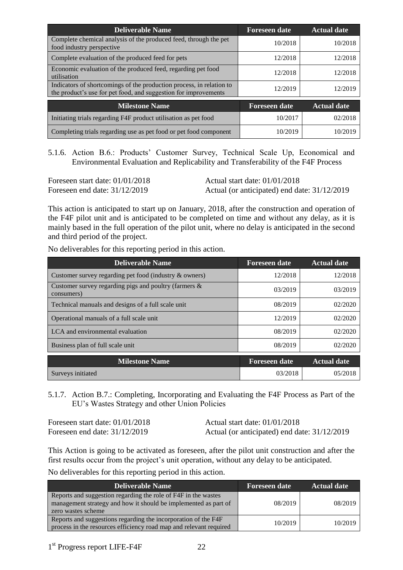| <b>Deliverable Name</b>                                                                                                                 | <b>Foreseen date</b> | <b>Actual date</b> |
|-----------------------------------------------------------------------------------------------------------------------------------------|----------------------|--------------------|
| Complete chemical analysis of the produced feed, through the pet<br>food industry perspective                                           | 10/2018              | 10/2018            |
| Complete evaluation of the produced feed for pets                                                                                       | 12/2018              | 12/2018            |
| Economic evaluation of the produced feed, regarding pet food<br>utilisation                                                             | 12/2018              | 12/2018            |
| Indicators of shortcomings of the production process, in relation to<br>the product's use for pet food, and suggestion for improvements | 12/2019              | 12/2019            |
| <b>Milestone Name</b>                                                                                                                   | <b>Foreseen date</b> | <b>Actual date</b> |
| Initiating trials regarding F4F product utilisation as pet food                                                                         | 10/2017              | 02/2018            |
| Completing trials regarding use as pet food or pet food component                                                                       | 10/2019              | 10/2019            |

<span id="page-21-0"></span>5.1.6. Action B.6.: Products' Customer Survey, Technical Scale Up, Economical and Environmental Evaluation and Replicability and Transferability of the F4F Process

Foreseen start date:  $01/01/2018$  Actual start date:  $01/01/2018$ 

Foreseen end date: 31/12/2019 Actual (or anticipated) end date: 31/12/2019

This action is anticipated to start up on January, 2018, after the construction and operation of the F4F pilot unit and is anticipated to be completed on time and without any delay, as it is mainly based in the full operation of the pilot unit, where no delay is anticipated in the second and third period of the project.

No deliverables for this reporting period in this action.

| <b>Deliverable Name</b>                                                | <b>Foreseen date</b> | <b>Actual date</b> |
|------------------------------------------------------------------------|----------------------|--------------------|
| Customer survey regarding pet food (industry & owners)                 | 12/2018              | 12/2018            |
| Customer survey regarding pigs and poultry (farmers $\&$<br>consumers) | 03/2019              | 03/2019            |
| Technical manuals and designs of a full scale unit                     | 08/2019              | 02/2020            |
| Operational manuals of a full scale unit                               | 12/2019              | 02/2020            |
| LCA and environmental evaluation                                       | 08/2019              | 02/2020            |
| Business plan of full scale unit                                       | 08/2019              | 02/2020            |
| <b>Milestone Name</b>                                                  | <b>Foreseen date</b> | <b>Actual date</b> |
| Surveys initiated                                                      | 03/2018              | 05/2018            |

<span id="page-21-1"></span>5.1.7. Action B.7.: Completing, Incorporating and Evaluating the F4F Process as Part of the EU's Wastes Strategy and other Union Policies

Foreseen start date: 01/01/2018 Actual start date: 01/01/2018

Foreseen end date: 31/12/2019 Actual (or anticipated) end date: 31/12/2019

This Action is going to be activated as foreseen, after the pilot unit construction and after the first results occur from the project's unit operation, without any delay to be anticipated.

No deliverables for this reporting period in this action.

| <b>Deliverable Name</b>                                                                                                                                 | <b>Foreseen date</b> | <b>Actual date</b> |
|---------------------------------------------------------------------------------------------------------------------------------------------------------|----------------------|--------------------|
| Reports and suggestion regarding the role of F4F in the wastes<br>management strategy and how it should be implemented as part of<br>zero wastes scheme | 08/2019              | 08/2019            |
| Reports and suggestions regarding the incorporation of the F4F<br>process in the resources efficiency road map and relevant required                    | 10/2019              | 10/2019            |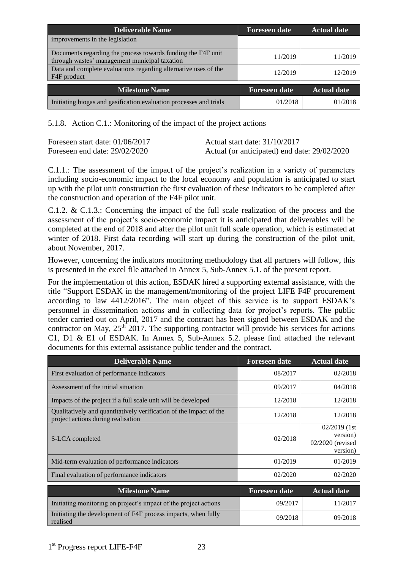| <b>Deliverable Name</b>                                                                                       | <b>Foreseen date</b> | <b>Actual date</b> |
|---------------------------------------------------------------------------------------------------------------|----------------------|--------------------|
| improvements in the legislation                                                                               |                      |                    |
| Documents regarding the process towards funding the F4F unit<br>through wastes' management municipal taxation | 11/2019              | 11/2019            |
| Data and complete evaluations regarding alternative uses of the<br>F4F product                                | 12/2019              | 12/2019            |
| <b>Milestone Name</b>                                                                                         | <b>Foreseen date</b> | <b>Actual date</b> |
| Initiating biogas and gasification evaluation processes and trials                                            | 01/2018              | 01/2018            |

<span id="page-22-0"></span>5.1.8. Action C.1.: Monitoring of the impact of the project actions

| Foreseen start date: $01/06/2017$ | Actual start date: 31/10/2017                |
|-----------------------------------|----------------------------------------------|
| Foreseen end date: $29/02/2020$   | Actual (or anticipated) end date: 29/02/2020 |

C.1.1.: The assessment of the impact of the project's realization in a variety of parameters including socio-economic impact to the local economy and population is anticipated to start up with the pilot unit construction the first evaluation of these indicators to be completed after the construction and operation of the F4F pilot unit.

C.1.2. & C.1.3.: Concerning the impact of the full scale realization of the process and the assessment of the project's socio-economic impact it is anticipated that deliverables will be completed at the end of 2018 and after the pilot unit full scale operation, which is estimated at winter of 2018. First data recording will start up during the construction of the pilot unit, about November, 2017.

However, concerning the indicators monitoring methodology that all partners will follow, this is presented in the excel file attached in Annex 5, Sub-Annex 5.1. of the present report.

For the implementation of this action, ESDAK hired a supporting external assistance, with the title "Support ESDAK in the management/monitoring of the project LIFE F4F procurement according to law 4412/2016". The main object of this service is to support ESDAK's personnel in dissemination actions and in collecting data for project's reports. The public tender carried out on April, 2017 and the contract has been signed between ESDAK and the contractor on May,  $25<sup>th</sup>$  2017. The supporting contractor will provide his services for actions C1, D1 & E1 of ESDAK. In Annex 5, Sub-Annex 5.2. please find attached the relevant documents for this external assistance public tender and the contract.

| <b>Deliverable Name</b>                                                                                  | <b>Foreseen date</b> | <b>Actual date</b>                                         |
|----------------------------------------------------------------------------------------------------------|----------------------|------------------------------------------------------------|
| First evaluation of performance indicators                                                               | 08/2017              | 02/2018                                                    |
| Assessment of the initial situation                                                                      | 09/2017              | 04/2018                                                    |
| Impacts of the project if a full scale unit will be developed                                            | 12/2018              | 12/2018                                                    |
| Qualitatively and quantitatively verification of the impact of the<br>project actions during realisation | 12/2018              | 12/2018                                                    |
| S-LCA completed                                                                                          | 02/2018              | $02/2019$ (1st<br>version)<br>02/2020 (revised<br>version) |
| Mid-term evaluation of performance indicators                                                            | 01/2019              | 01/2019                                                    |
| Final evaluation of performance indicators                                                               | 02/2020              | 02/2020                                                    |
| <b>Milestone Name</b>                                                                                    | <b>Foreseen date</b> | <b>Actual date</b>                                         |
| Initiating monitoring on project's impact of the project actions                                         | 09/2017              | 11/2017                                                    |
| Initiating the development of F4F process impacts, when fully<br>realised                                | 09/2018              | 09/2018                                                    |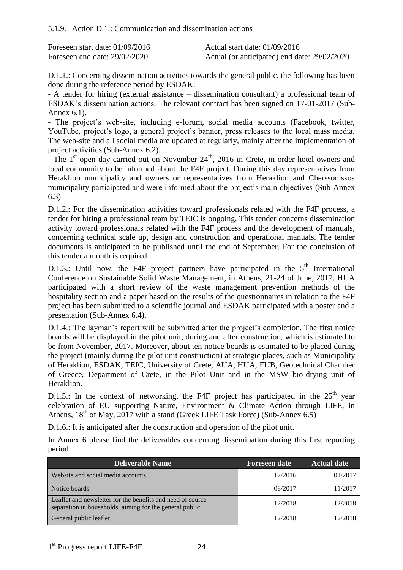<span id="page-23-0"></span>

| Foreseen start date: $01/09/2016$ | Actual start date: $01/09/2016$              |
|-----------------------------------|----------------------------------------------|
| Foreseen end date: $29/02/2020$   | Actual (or anticipated) end date: 29/02/2020 |

D.1.1.: Concerning dissemination activities towards the general public, the following has been done during the reference period by ESDAK:

- A tender for hiring (external assistance – dissemination consultant) a professional team of ESDAK's dissemination actions. The relevant contract has been signed on 17-01-2017 (Sub-Annex 6.1).

- The project's web-site, including e-forum, social media accounts (Facebook, twitter, YouTube, project's logo, a general project's banner, press releases to the local mass media. The web-site and all social media are updated at regularly, mainly after the implementation of project activities (Sub-Annex 6.2).

 $\frac{1}{2}$ . The 1<sup>st</sup> open day carried out on November 24<sup>th</sup>, 2016 in Crete, in order hotel owners and local community to be informed about the F4F project. During this day representatives from Heraklion municipality and owners or representatives from Heraklion and Cherssonissos municipality participated and were informed about the project's main objectives (Sub-Annex 6.3)

D.1.2.: For the dissemination activities toward professionals related with the F4F process, a tender for hiring a professional team by TEIC is ongoing. This tender concerns dissemination activity toward professionals related with the F4F process and the development of manuals, concerning technical scale up, design and construction and operational manuals. The tender documents is anticipated to be published until the end of September. For the conclusion of this tender a month is required

D.1.3.: Until now, the F4F project partners have participated in the  $5<sup>th</sup>$  International Conference on Sustainable Solid Waste Management, in Athens, 21-24 of June, 2017. HUA participated with a short review of the waste management prevention methods of the hospitality section and a paper based on the results of the questionnaires in relation to the F4F project has been submitted to a scientific journal and ESDAK participated with a poster and a presentation (Sub-Annex 6.4).

D.1.4.: The layman's report will be submitted after the project's completion. The first notice boards will be displayed in the pilot unit, during and after construction, which is estimated to be from November, 2017. Moreover, about ten notice boards is estimated to be placed during the project (mainly during the pilot unit construction) at strategic places, such as Municipality of Heraklion, ESDAK, TEIC, University of Crete, AUA, HUA, FUB, Geotechnical Chamber of Greece, Department of Crete, in the Pilot Unit and in the MSW bio-drying unit of Heraklion.

D.1.5.: In the context of networking, the F4F project has participated in the  $25<sup>th</sup>$  year celebration of EU supporting Nature, Environment & Climate Action through LIFE, in Athens,  $18^{th}$  of May, 2017 with a stand (Greek LIFE Task Force) (Sub-Annex 6.5)

D.1.6.: It is anticipated after the construction and operation of the pilot unit.

In Annex 6 please find the deliverables concerning dissemination during this first reporting period.

| <b>Deliverable Name</b>                                                                                               | <b>Foreseen date</b> | <b>Actual date</b> |
|-----------------------------------------------------------------------------------------------------------------------|----------------------|--------------------|
| Website and social media accounts                                                                                     | 12/2016              | 01/2017            |
| Notice boards                                                                                                         | 08/2017              | 11/2017            |
| Leaflet and newsletter for the benefits and need of source<br>separation in households, aiming for the general public | 12/2018              | 12/2018            |
| General public leaflet                                                                                                | 12/2018              | 12/2018            |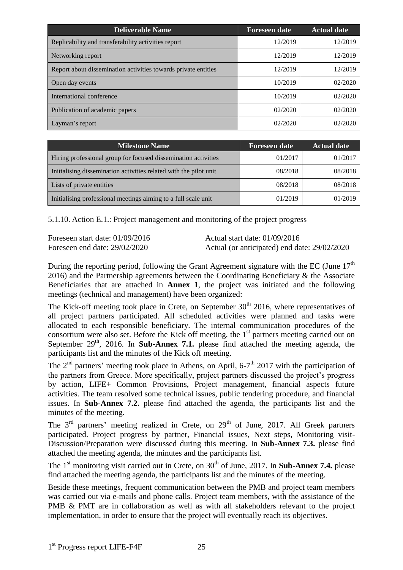| <b>Deliverable Name</b>                                        | <b>Foreseen date</b> | <b>Actual date</b> |
|----------------------------------------------------------------|----------------------|--------------------|
| Replicability and transferability activities report            | 12/2019              | 12/2019            |
| Networking report                                              | 12/2019              | 12/2019            |
| Report about dissemination activities towards private entities | 12/2019              | 12/2019            |
| Open day events                                                | 10/2019              | 02/2020            |
| International conference                                       | 10/2019              | 02/2020            |
| Publication of academic papers                                 | 02/2020              | 02/2020            |
| Layman's report                                                | 02/2020              | 02/2020            |

| Milestone Name                                                    | <b>Foreseen date</b> | <b>Actual date</b> |
|-------------------------------------------------------------------|----------------------|--------------------|
| Hiring professional group for focused dissemination activities    | 01/2017              | 01/2017            |
| Initialising dissemination activities related with the pilot unit | 08/2018              | 08/2018            |
| Lists of private entities                                         | 08/2018              | 08/2018            |
| Initialising professional meetings aiming to a full scale unit    | 01/2019              | 01/2019            |

<span id="page-24-0"></span>5.1.10. Action E.1.: Project management and monitoring of the project progress

Foreseen start date: 01/09/2016 Actual start date: 01/09/2016

Foreseen end date: 29/02/2020 Actual (or anticipated) end date: 29/02/2020

During the reporting period, following the Grant Agreement signature with the EC (June  $17<sup>th</sup>$ 2016) and the Partnership agreements between the Coordinating Beneficiary & the Associate Beneficiaries that are attached in **Annex 1**, the project was initiated and the following meetings (technical and management) have been organized:

The Kick-off meeting took place in Crete, on September  $30<sup>th</sup>$  2016, where representatives of all project partners participated. All scheduled activities were planned and tasks were allocated to each responsible beneficiary. The internal communication procedures of the consortium were also set. Before the Kick off meeting, the 1<sup>st</sup> partners meeting carried out on September  $29<sup>th</sup>$ , 2016. In **Sub-Annex 7.1.** please find attached the meeting agenda, the participants list and the minutes of the Kick off meeting.

The  $2<sup>nd</sup>$  partners' meeting took place in Athens, on April, 6-7<sup>th</sup> 2017 with the participation of the partners from Greece. More specifically, project partners discussed the project's progress by action, LIFE+ Common Provisions, Project management, financial aspects future activities. The team resolved some technical issues, public tendering procedure, and financial issues. In **Sub-Annex 7.2.** please find attached the agenda, the participants list and the minutes of the meeting.

The  $3<sup>rd</sup>$  partners' meeting realized in Crete, on  $29<sup>th</sup>$  of June, 2017. All Greek partners participated. Project progress by partner, Financial issues, Next steps, Monitoring visit-Discussion/Preparation were discussed during this meeting. In **Sub-Annex 7.3.** please find attached the meeting agenda, the minutes and the participants list.

The  $1<sup>st</sup>$  monitoring visit carried out in Crete, on  $30<sup>th</sup>$  of June, 2017. In **Sub-Annex 7.4.** please find attached the meeting agenda, the participants list and the minutes of the meeting.

Beside these meetings, frequent communication between the PMB and project team members was carried out via e-mails and phone calls. Project team members, with the assistance of the PMB & PMT are in collaboration as well as with all stakeholders relevant to the project implementation, in order to ensure that the project will eventually reach its objectives.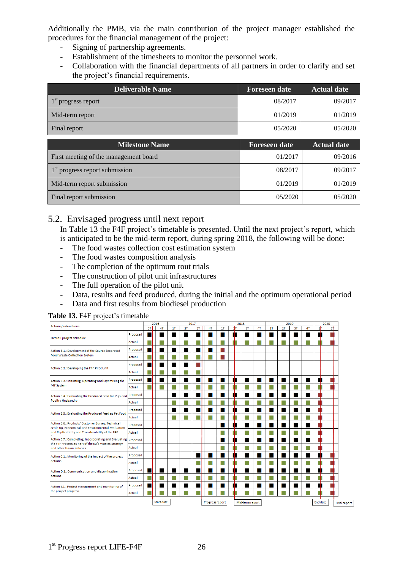Additionally the PMB, via the main contribution of the project manager established the procedures for the financial management of the project:

- Signing of partnership agreements.
- Establishment of the timesheets to monitor the personnel work.
- Collaboration with the financial departments of all partners in order to clarify and set the project's financial requirements.

| <b>Deliverable Name</b>               | <b>Foreseen date</b> | <b>Actual date</b> |
|---------------------------------------|----------------------|--------------------|
| $1st$ progress report                 | 08/2017              | 09/2017            |
| Mid-term report                       | 01/2019              | 01/2019            |
| Final report                          | 05/2020              | 05/2020            |
| <b>Milestone Name</b>                 | <b>Foreseen date</b> | <b>Actual date</b> |
|                                       |                      |                    |
| First meeting of the management board | 01/2017              | 09/2016            |
| $1st$ progress report submission      | 08/2017              | 09/2017            |
| Mid-term report submission            | 01/2019              | 01/2019            |

## <span id="page-25-0"></span>5.2. Envisaged progress until next report

In Table 13 the F4F project's timetable is presented. Until the next project's report, which is anticipated to be the mid-term report, during spring 2018, the following will be done:

- The food wastes collection cost estimation system
- The food wastes composition analysis
- The completion of the optimum rout trials
- The construction of pilot unit infrastructures
- The full operation of the pilot unit
- Data, results and feed produced, during the initial and the optimum operational period
- Data and first results from biodiesel production

**Table 13.** F4F project's timetable

| Actions/sub-actions                                                                                          |               | 2016 |                   | 2017 |    |    |    |                 |     | 2018 |                 |    |    |    | 2019 |    | 2020            |    |                     |
|--------------------------------------------------------------------------------------------------------------|---------------|------|-------------------|------|----|----|----|-----------------|-----|------|-----------------|----|----|----|------|----|-----------------|----|---------------------|
|                                                                                                              |               | 3T   | 4T                | 1T   | 2T | 3T | 4T | 1T              | zіт |      | 3T              | 4T | 1T | 2T | 3T   | 4T | 1ħ              | 21 |                     |
| Overall project schedule                                                                                     | Proposed      |      |                   |      |    |    |    |                 | п   |      |                 |    |    |    |      |    | п               |    |                     |
|                                                                                                              | <b>Actual</b> |      |                   |      |    |    |    | L.              |     |      | L.              |    | L  |    | L    |    |                 |    |                     |
| Action B.1.: Development of the Source Separated<br><b>Food Waste Collection System</b>                      | Proposed      |      |                   |      |    |    |    |                 |     |      |                 |    |    |    |      |    |                 |    |                     |
|                                                                                                              | Actual        |      |                   |      |    |    |    |                 |     |      |                 |    |    |    |      |    |                 |    |                     |
| Action B.2.: Developing the F4F Pilot Unit                                                                   | Proposed      |      |                   |      |    |    |    |                 |     |      |                 |    |    |    |      |    |                 |    |                     |
|                                                                                                              | Actual        |      |                   |      |    |    |    |                 |     |      |                 |    |    |    |      |    |                 |    |                     |
| Action B.3.: Initiating, Operating and Optimising the                                                        | Proposed      |      |                   | ٠    | ٠  | ٠  |    | ٠               | ш   |      |                 |    | ٠  |    | ٠    |    | п               |    |                     |
| F4F System                                                                                                   | Actual        |      |                   |      |    | L. |    | L               |     |      | L.              | L  | н  | L  | L.   | г. |                 |    |                     |
| Action B.4.: Evaluating the Produced Feed for Pigs and                                                       | Proposed      |      |                   | ٠    |    |    |    | ٠               | п   |      | ш               | ٠  | ш  | ٠  | ш    | ш  |                 |    |                     |
| <b>Poultry Husbandry</b>                                                                                     | Actual        |      |                   |      |    |    |    | L.              |     |      | L.              |    |    |    | L    |    |                 |    |                     |
|                                                                                                              | Proposed      |      |                   | n.   |    |    |    | ш               | ш   |      | ш               |    |    |    | ш    | w  |                 |    |                     |
| Action B.5.: Evaluating the Produced Feed as Pet Food                                                        | Actual        |      |                   | L.   |    |    | u. | L               |     |      | L.              | L  |    | L  | L.   | L  |                 |    |                     |
| Action B.6.: Products' Customer Survey, Technical<br>Scale Up, Economical and Environmental Evaluation       | Proposed      |      |                   |      |    |    |    | ▄               | п   |      | ш               |    | ш  |    | ш    |    |                 |    |                     |
| and Replicability and Transferability of the F4F                                                             | Actual        |      |                   |      |    |    |    | L.              |     |      | L               |    | L  |    | L    |    |                 |    |                     |
| Action B.7.: Completing, Incorporating and Evaluating<br>the F4F Process as Part of the EU's Wastes Strategy | Proposed      |      |                   |      |    |    |    | ▄               | ш   |      | ш               |    | ш  |    | ш    |    |                 |    |                     |
| and other Union Policies                                                                                     | Actual        |      |                   |      |    |    |    |                 |     |      | Г               |    | Г  |    | L    |    |                 |    |                     |
| Action C.1.: Monitoring of the impact of the project                                                         | Proposed      |      |                   |      |    |    |    | ш               | п   |      | п               |    | п  |    | ш    |    | ш               |    |                     |
| actions                                                                                                      | Actual        |      |                   |      |    |    |    | Г               |     |      | г               |    | г  |    | L    |    |                 |    |                     |
| Action D.1.: Communication and dissemination                                                                 | Proposed      |      |                   |      |    |    |    |                 | п   |      | п               |    | ш  |    | ш    |    | ш               |    |                     |
| actions                                                                                                      | Actual        |      |                   |      |    |    |    | L               |     |      | г               |    | г  |    | П    |    |                 |    |                     |
| Action E.1.: Project management and monitoring of                                                            | Proposed      |      |                   |      |    |    |    |                 | ш   |      | ш               |    | ш  |    | ш    |    | ┱<br>ш          |    |                     |
| the project progress                                                                                         | Actual        |      |                   |      |    |    |    |                 |     |      |                 |    |    |    |      |    |                 |    |                     |
|                                                                                                              |               |      | <b>Start date</b> |      |    |    |    | Progress report |     |      | Mid-term report |    |    |    |      |    | <b>End date</b> |    | <b>Final report</b> |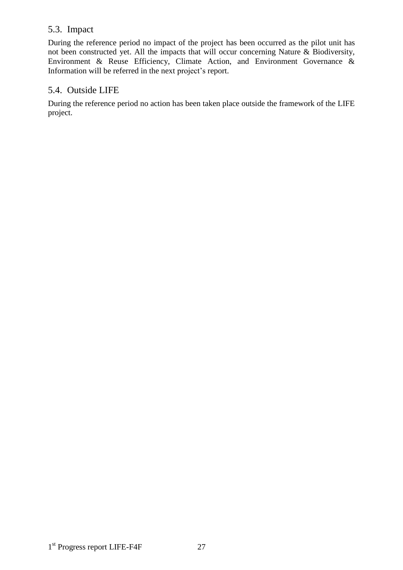### <span id="page-26-0"></span>5.3. Impact

During the reference period no impact of the project has been occurred as the pilot unit has not been constructed yet. All the impacts that will occur concerning Nature & Biodiversity, Environment & Reuse Efficiency, Climate Action, and Environment Governance & Information will be referred in the next project's report.

### <span id="page-26-1"></span>5.4. Outside LIFE

During the reference period no action has been taken place outside the framework of the LIFE project.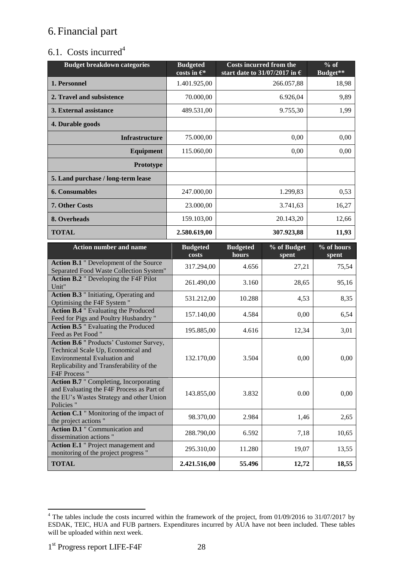# <span id="page-27-0"></span>6.Financial part

# <span id="page-27-1"></span>6.1. Costs incurred<sup>4</sup>

| <b>Budget breakdown categories</b>                                                                                                                                                       | <b>Budgeted</b><br>costs in $\epsilon^*$ | <b>Costs incurred from the</b><br>start date to 31/07/2017 in $\epsilon$ |                | $%$ of<br><b>Budget**</b> |
|------------------------------------------------------------------------------------------------------------------------------------------------------------------------------------------|------------------------------------------|--------------------------------------------------------------------------|----------------|---------------------------|
| 1. Personnel                                                                                                                                                                             | 1.401.925,00                             |                                                                          | 266.057,88     | 18,98                     |
| 2. Travel and subsistence                                                                                                                                                                | 70.000,00                                |                                                                          | 6.926,04       | 9,89                      |
| 3. External assistance                                                                                                                                                                   | 489.531,00                               |                                                                          | 9.755,30       | 1,99                      |
| 4. Durable goods                                                                                                                                                                         |                                          |                                                                          |                |                           |
| <b>Infrastructure</b>                                                                                                                                                                    | 75.000,00                                |                                                                          | 0,00           | 0,00                      |
| Equipment                                                                                                                                                                                | 115.060,00                               |                                                                          | 0,00           | 0,00                      |
| Prototype                                                                                                                                                                                |                                          |                                                                          |                |                           |
| 5. Land purchase / long-term lease                                                                                                                                                       |                                          |                                                                          |                |                           |
| <b>6. Consumables</b>                                                                                                                                                                    | 247.000,00                               |                                                                          | 1.299,83       | 0,53                      |
| 7. Other Costs                                                                                                                                                                           | 23.000,00                                |                                                                          | 3.741,63       | 16,27                     |
| 8. Overheads                                                                                                                                                                             | 159.103,00                               |                                                                          | 20.143,20      | 12,66                     |
| <b>TOTAL</b>                                                                                                                                                                             | 2.580.619,00                             |                                                                          | 307.923,88     | 11,93                     |
| <b>Action number and name</b>                                                                                                                                                            | <b>Budgeted</b><br>costs                 | <b>Budgeted</b><br>hours                                                 | % of Budget    | % of hours                |
| Action B.1 " Development of the Source                                                                                                                                                   | 317.294,00                               | 4.656                                                                    | spent<br>27,21 | spent<br>75,54            |
| Separated Food Waste Collection System"<br><b>Action B.2</b> " Developing the F4F Pilot                                                                                                  |                                          |                                                                          |                |                           |
| Unit"<br><b>Action B.3</b> " Initiating, Operating and                                                                                                                                   | 261.490,00                               | 3.160                                                                    | 28,65          | 95,16                     |
| Optimising the F4F System "                                                                                                                                                              | 531.212,00                               | 10.288                                                                   | 4,53           | 8,35                      |
| <b>Action B.4</b> " Evaluating the Produced<br>Feed for Pigs and Poultry Husbandry"                                                                                                      | 157.140,00                               | 4.584                                                                    | 0,00           | 6,54                      |
| <b>Action B.5</b> " Evaluating the Produced<br>Feed as Pet Food "                                                                                                                        | 195.885,00                               | 4.616                                                                    | 12,34          | 3,01                      |
| <b>Action B.6</b> " Products' Customer Survey,<br>Technical Scale Up, Economical and<br><b>Environmental Evaluation and</b><br>Replicability and Transferability of the<br>F4F Process " | 132.170,00                               | 3.504                                                                    | 0,00           | 0,00                      |
| <b>Action B.7</b> " Completing, Incorporating<br>and Evaluating the F4F Process as Part of<br>the EU's Wastes Strategy and other Union<br>Policies "                                     | 143.855,00                               | 3.832                                                                    | 0.00           | 0,00                      |
| Action C.1 " Monitoring of the impact of<br>the project actions"                                                                                                                         | 98.370,00                                | 2.984                                                                    | 1,46           | 2,65                      |
| <b>Action D.1</b> " Communication and<br>dissemination actions"                                                                                                                          | 288.790,00                               | 6.592                                                                    | 7,18           | 10,65                     |
| Action E.1 " Project management and<br>monitoring of the project progress "                                                                                                              | 295.310,00                               | 11.280                                                                   | 19,07          | 13,55                     |
| <b>TOTAL</b>                                                                                                                                                                             | 2.421.516,00                             | 55.496                                                                   | 12,72          | 18,55                     |

 $\overline{a}$  $4$  The tables include the costs incurred within the framework of the project, from 01/09/2016 to 31/07/2017 by ESDAK, TEIC, HUA and FUB partners. Expenditures incurred by AUA have not been included. These tables will be uploaded within next week.

<sup>1</sup> st Progress report LIFE-F4F 28